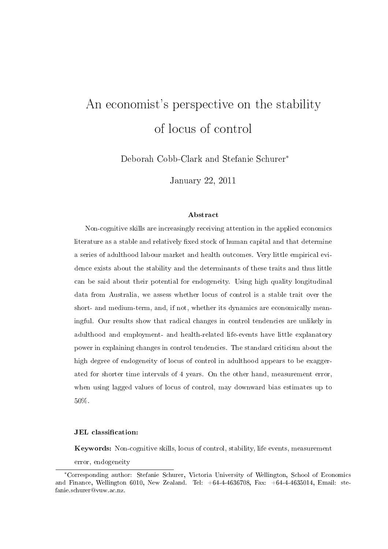# An economist's perspective on the stability of locus of control

Deborah Cobb-Clark and Stefanie Schurer<sup>∗</sup>

January 22, 2011

#### Abstract

Non-cognitive skills are increasingly receiving attention in the applied economics literature as a stable and relatively fixed stock of human capital and that determine a series of adulthood labour market and health outcomes. Very little empirical evidence exists about the stability and the determinants of these traits and thus little can be said about their potential for endogeneity. Using high quality longitudinal data from Australia, we assess whether locus of control is a stable trait over the short- and medium-term, and, if not, whether its dynamics are economically meaningful. Our results show that radical changes in control tendencies are unlikely in adulthood and employment- and health-related life-events have little explanatory power in explaining changes in control tendencies. The standard criticism about the high degree of endogeneity of locus of control in adulthood appears to be exaggerated for shorter time intervals of 4 years. On the other hand, measurement error, when using lagged values of locus of control, may downward bias estimates up to 50%.

#### JEL classification:

Keywords: Non-cognitive skills, locus of control, stability, life events, measurement error, endogeneity

<sup>∗</sup>Corresponding author: Stefanie Schurer, Victoria University of Wellington, School of Economics and Finance, Wellington 6010, New Zealand. Tel:  $+64-4-4636708$ , Fax:  $+64-4-4635014$ , Email: stefanie.schurer@vuw.ac.nz.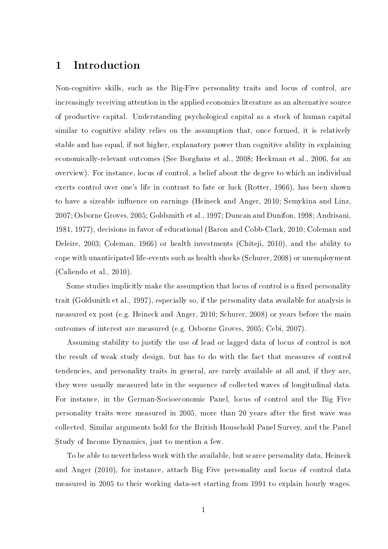## 1 Introduction

Non-cognitive skills, such as the Big-Five personality traits and locus of control, are increasingly receiving attention in the applied economics literature as an alternative source of productive capital. Understanding psychological capital as a stock of human capital similar to cognitive ability relies on the assumption that, once formed, it is relatively stable and has equal, if not higher, explanatory power than cognitive ability in explaining economically-relevant outcomes (See Borghans et al., 2008; Heckman et al., 2006, for an overview). For instance, locus of control, a belief about the degree to which an individual exerts control over one's life in contrast to fate or luck (Rotter, 1966), has been shown to have a sizeable influence on earnings (Heineck and Anger, 2010; Semykina and Linz, 2007; Osborne Groves, 2005; Goldsmith et al., 1997; Duncan and Dunifon, 1998; Andrisani, 1981, 1977), decisions in favor of educational (Baron and Cobb-Clark, 2010; Coleman and Deleire, 2003; Coleman, 1966) or health investments (Chiteji, 2010), and the ability to cope with unanticipated life-events such as health shocks (Schurer, 2008) or unemployment (Caliendo et al., 2010).

Some studies implicitly make the assumption that locus of control is a fixed personality trait (Goldsmith et al., 1997), especially so, if the personality data available for analysis is measured ex post (e.g. Heineck and Anger, 2010; Schurer, 2008) or years before the main outcomes of interest are measured (e.g. Osborne Groves, 2005; Cebi, 2007).

Assuming stability to justify the use of lead or lagged data of locus of control is not the result of weak study design, but has to do with the fact that measures of control tendencies, and personality traits in general, are rarely available at all and, if they are, they were usually measured late in the sequence of collected waves of longitudinal data. For instance, in the German-Socioeconomic Panel, locus of control and the Big Five personality traits were measured in 2005, more than 20 years after the first wave was collected. Similar arguments hold for the British Household Panel Survey, and the Panel Study of Income Dynamics, just to mention a few.

To be able to nevertheless work with the available, but scarce personality data, Heineck and Anger (2010), for instance, attach Big Five personality and locus of control data measured in 2005 to their working data-set starting from 1991 to explain hourly wages.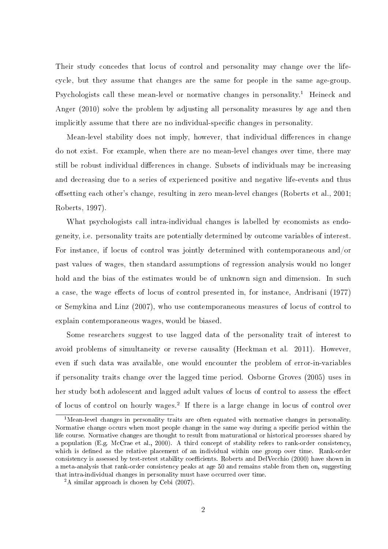Their study concedes that locus of control and personality may change over the lifecycle, but they assume that changes are the same for people in the same age-group. Psychologists call these mean-level or normative changes in personality.<sup>1</sup> Heineck and Anger (2010) solve the problem by adjusting all personality measures by age and then implicitly assume that there are no individual-specific changes in personality.

Mean-level stability does not imply, however, that individual differences in change do not exist. For example, when there are no mean-level changes over time, there may still be robust individual differences in change. Subsets of individuals may be increasing and decreasing due to a series of experienced positive and negative life-events and thus offsetting each other's change, resulting in zero mean-level changes (Roberts et al., 2001; Roberts, 1997).

What psychologists call intra-individual changes is labelled by economists as endogeneity, i.e. personality traits are potentially determined by outcome variables of interest. For instance, if locus of control was jointly determined with contemporaneous and/or past values of wages, then standard assumptions of regression analysis would no longer hold and the bias of the estimates would be of unknown sign and dimension. In such a case, the wage effects of locus of control presented in, for instance, Andrisani (1977) or Semykina and Linz (2007), who use contemporaneous measures of locus of control to explain contemporaneous wages, would be biased.

Some researchers suggest to use lagged data of the personality trait of interest to avoid problems of simultaneity or reverse causality (Heckman et al. 2011). However, even if such data was available, one would encounter the problem of error-in-variables if personality traits change over the lagged time period. Osborne Groves (2005) uses in her study both adolescent and lagged adult values of locus of control to assess the effect of locus of control on hourly wages.<sup>2</sup> If there is a large change in locus of control over

<sup>&</sup>lt;sup>1</sup>Mean-level changes in personality traits are often equated with normative changes in personality. Normative change occurs when most people change in the same way during a specific period within the life course. Normative changes are thought to result from maturational or historical processes shared by a population (E.g. McCrae et al., 2000). A third concept of stability refers to rank-order consistency, which is defined as the relative placement of an individual within one group over time. Rank-order consistency is assessed by test-retest stability coefficients. Roberts and DelVecchio (2000) have shown in a meta-analysis that rank-order consistency peaks at age 50 and remains stable from then on, suggesting that intra-individual changes in personality must have occurred over time.

<sup>2</sup>A similar approach is chosen by Cebi (2007).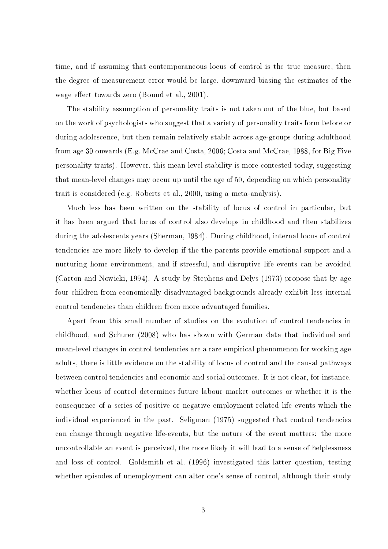time, and if assuming that contemporaneous locus of control is the true measure, then the degree of measurement error would be large, downward biasing the estimates of the wage effect towards zero (Bound et al., 2001).

The stability assumption of personality traits is not taken out of the blue, but based on the work of psychologists who suggest that a variety of personality traits form before or during adolescence, but then remain relatively stable across age-groups during adulthood from age 30 onwards (E.g. McCrae and Costa, 2006; Costa and McCrae, 1988, for Big Five personality traits). However, this mean-level stability is more contested today, suggesting that mean-level changes may occur up until the age of 50, depending on which personality trait is considered (e.g. Roberts et al., 2000, using a meta-analysis).

Much less has been written on the stability of locus of control in particular, but it has been argued that locus of control also develops in childhood and then stabilizes during the adolescents years (Sherman, 1984). During childhood, internal locus of control tendencies are more likely to develop if the the parents provide emotional support and a nurturing home environment, and if stressful, and disruptive life events can be avoided (Carton and Nowicki, 1994). A study by Stephens and Delys (1973) propose that by age four children from economically disadvantaged backgrounds already exhibit less internal control tendencies than children from more advantaged families.

Apart from this small number of studies on the evolution of control tendencies in childhood, and Schurer (2008) who has shown with German data that individual and mean-level changes in control tendencies are a rare empirical phenomenon for working age adults, there is little evidence on the stability of locus of control and the causal pathways between control tendencies and economic and social outcomes. It is not clear, for instance, whether locus of control determines future labour market outcomes or whether it is the consequence of a series of positive or negative employment-related life events which the individual experienced in the past. Seligman (1975) suggested that control tendencies can change through negative life-events, but the nature of the event matters: the more uncontrollable an event is perceived, the more likely it will lead to a sense of helplessness and loss of control. Goldsmith et al. (1996) investigated this latter question, testing whether episodes of unemployment can alter one's sense of control, although their study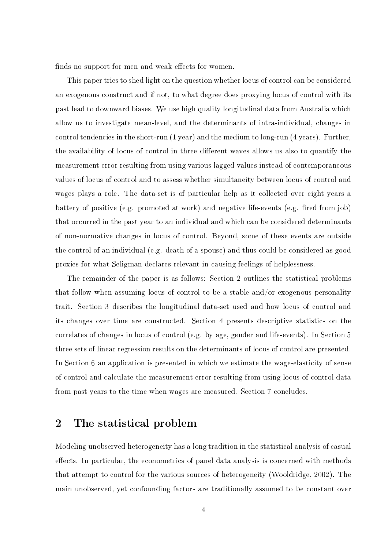finds no support for men and weak effects for women.

This paper tries to shed light on the question whether locus of control can be considered an exogenous construct and if not, to what degree does proxying locus of control with its past lead to downward biases. We use high quality longitudinal data from Australia which allow us to investigate mean-level, and the determinants of intra-individual, changes in control tendencies in the short-run (1 year) and the medium to long-run (4 years). Further, the availability of locus of control in three different waves allows us also to quantify the measurement error resulting from using various lagged values instead of contemporaneous values of locus of control and to assess whether simultaneity between locus of control and wages plays a role. The data-set is of particular help as it collected over eight years a battery of positive (e.g. promoted at work) and negative life-events (e.g. fired from job) that occurred in the past year to an individual and which can be considered determinants of non-normative changes in locus of control. Beyond, some of these events are outside the control of an individual (e.g. death of a spouse) and thus could be considered as good proxies for what Seligman declares relevant in causing feelings of helplessness.

The remainder of the paper is as follows: Section 2 outlines the statistical problems that follow when assuming locus of control to be a stable and/or exogenous personality trait. Section 3 describes the longitudinal data-set used and how locus of control and its changes over time are constructed. Section 4 presents descriptive statistics on the correlates of changes in locus of control (e.g. by age, gender and life-events). In Section 5 three sets of linear regression results on the determinants of locus of control are presented. In Section 6 an application is presented in which we estimate the wage-elasticity of sense of control and calculate the measurement error resulting from using locus of control data from past years to the time when wages are measured. Section 7 concludes.

## 2 The statistical problem

Modeling unobserved heterogeneity has a long tradition in the statistical analysis of casual effects. In particular, the econometrics of panel data analysis is concerned with methods that attempt to control for the various sources of heterogeneity (Wooldridge, 2002). The main unobserved, yet confounding factors are traditionally assumed to be constant over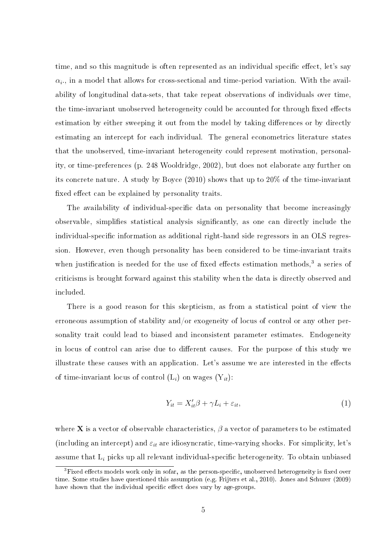time, and so this magnitude is often represented as an individual specific effect, let's say  $\alpha_i$ , in a model that allows for cross-sectional and time-period variation. With the availability of longitudinal data-sets, that take repeat observations of individuals over time, the time-invariant unobserved heterogeneity could be accounted for through fixed effects estimation by either sweeping it out from the model by taking differences or by directly estimating an intercept for each individual. The general econometrics literature states that the unobserved, time-invariant heterogeneity could represent motivation, personality, or time-preferences (p. 248 Wooldridge, 2002), but does not elaborate any further on its concrete nature. A study by Boyce (2010) shows that up to 20% of the time-invariant fixed effect can be explained by personality traits.

The availability of individual-specific data on personality that become increasingly observable, simplies statistical analysis signicantly, as one can directly include the individual-specific information as additional right-hand side regressors in an OLS regression. However, even though personality has been considered to be time-invariant traits when justification is needed for the use of fixed effects estimation methods,<sup>3</sup> a series of criticisms is brought forward against this stability when the data is directly observed and included.

There is a good reason for this skepticism, as from a statistical point of view the erroneous assumption of stability and/or exogeneity of locus of control or any other personality trait could lead to biased and inconsistent parameter estimates. Endogeneity in locus of control can arise due to different causes. For the purpose of this study we illustrate these causes with an application. Let's assume we are interested in the effects of time-invariant locus of control  $(L_i)$  on wages  $(Y_{it})$ :

$$
Y_{it} = X_{it}'\beta + \gamma L_i + \varepsilon_{it},\tag{1}
$$

where **X** is a vector of observable characteristics,  $\beta$  a vector of parameters to be estimated (including an intercept) and  $\varepsilon_{it}$  are idiosyncratic, time-varying shocks. For simplicity, let's assume that  $L_i$  picks up all relevant individual-specific heterogeneity. To obtain unbiased

 $3$ Fixed effects models work only in sofar, as the person-specific, unobserved heterogeneity is fixed over time. Some studies have questioned this assumption (e.g. Frijters et al., 2010). Jones and Schurer (2009) have shown that the individual specific effect does vary by age-groups.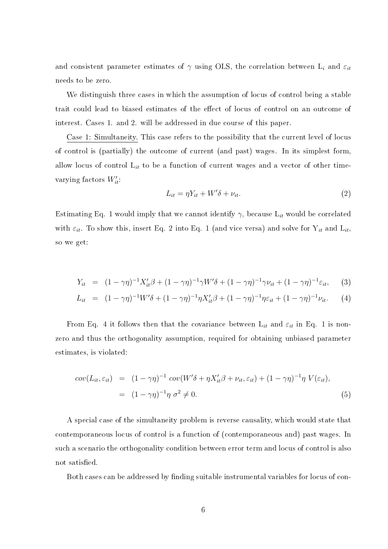and consistent parameter estimates of  $\gamma$  using OLS, the correlation between L<sub>i</sub> and  $\varepsilon_{it}$ needs to be zero.

We distinguish three cases in which the assumption of locus of control being a stable trait could lead to biased estimates of the effect of locus of control on an outcome of interest. Cases 1. and 2. will be addressed in due course of this paper.

Case 1: Simultaneity. This case refers to the possibility that the current level of locus of control is (partially) the outcome of current (and past) wages. In its simplest form, allow locus of control  $L_{it}$  to be a function of current wages and a vector of other timevarying factors  $W'_{it}$ :

$$
L_{it} = \eta Y_{it} + W'\delta + \nu_{it}.
$$
\n<sup>(2)</sup>

Estimating Eq. 1 would imply that we cannot identify  $\gamma$ , because  $L_{it}$  would be correlated with  $\varepsilon_{it}$ . To show this, insert Eq. 2 into Eq. 1 (and vice versa) and solve for  $Y_{it}$  and  $L_{it}$ , so we get:

$$
Y_{it} = (1 - \gamma \eta)^{-1} X_{it}' \beta + (1 - \gamma \eta)^{-1} \gamma W' \delta + (1 - \gamma \eta)^{-1} \gamma \nu_{it} + (1 - \gamma \eta)^{-1} \varepsilon_{it}, \qquad (3)
$$

$$
L_{it} = (1 - \gamma \eta)^{-1} W' \delta + (1 - \gamma \eta)^{-1} \eta X'_{it} \beta + (1 - \gamma \eta)^{-1} \eta \varepsilon_{it} + (1 - \gamma \eta)^{-1} \nu_{it}.
$$
 (4)

From Eq. 4 it follows then that the covariance between  $L_{it}$  and  $\varepsilon_{it}$  in Eq. 1 is nonzero and thus the orthogonality assumption, required for obtaining unbiased parameter estimates, is violated:

$$
cov(L_{it}, \varepsilon_{it}) = (1 - \gamma \eta)^{-1} cov(W'\delta + \eta X_{it}'\beta + \nu_{it}, \varepsilon_{it}) + (1 - \gamma \eta)^{-1} \eta V(\varepsilon_{it}),
$$
  

$$
= (1 - \gamma \eta)^{-1} \eta \sigma^2 \neq 0.
$$
 (5)

A special case of the simultaneity problem is reverse causality, which would state that contemporaneous locus of control is a function of (contemporaneous and) past wages. In such a scenario the orthogonality condition between error term and locus of control is also not satisfied.

Both cases can be addressed by finding suitable instrumental variables for locus of con-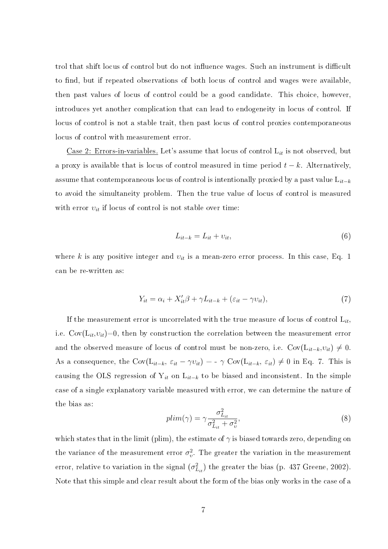trol that shift locus of control but do not influence wages. Such an instrument is difficult to find, but if repeated observations of both locus of control and wages were available, then past values of locus of control could be a good candidate. This choice, however, introduces yet another complication that can lead to endogeneity in locus of control. If locus of control is not a stable trait, then past locus of control proxies contemporaneous locus of control with measurement error.

Case 2: Errors-in-variables. Let's assume that locus of control  $L_{it}$  is not observed, but a proxy is available that is locus of control measured in time period  $t - k$ . Alternatively, assume that contemporaneous locus of control is intentionally proxied by a past value  $L_{it-k}$ to avoid the simultaneity problem. Then the true value of locus of control is measured with error  $v_{it}$  if locus of control is not stable over time:

$$
L_{it-k} = L_{it} + v_{it},\tag{6}
$$

where k is any positive integer and  $v_{it}$  is a mean-zero error process. In this case, Eq. 1 can be re-written as:

$$
Y_{it} = \alpha_i + X_{it}'\beta + \gamma L_{it-k} + (\varepsilon_{it} - \gamma v_{it}),\tag{7}
$$

If the measurement error is uncorrelated with the true measure of locus of control  $L_{it}$ , i.e.  $Cov(L_{it},v_{it})=0$ , then by construction the correlation between the measurement error and the observed measure of locus of control must be non-zero, i.e.  $Cov(L_{it-k}, v_{it}) \neq 0$ . As a consequence, the Cov( $L_{it-k}$ ,  $\varepsilon_{it} - \gamma v_{it}$ ) = -  $\gamma$  Cov( $L_{it-k}$ ,  $\varepsilon_{it}$ )  $\neq 0$  in Eq. 7. This is causing the OLS regression of  $Y_{it}$  on  $L_{it-k}$  to be biased and inconsistent. In the simple case of a single explanatory variable measured with error, we can determine the nature of the bias as:

$$
plim(\gamma) = \gamma \frac{\sigma_{L_{it}}^2}{\sigma_{L_{it}}^2 + \sigma_v^2},\tag{8}
$$

which states that in the limit (plim), the estimate of  $\gamma$  is biased towards zero, depending on the variance of the measurement error  $\sigma_v^2$ . The greater the variation in the measurement error, relative to variation in the signal  $(\sigma_{L_{it}}^2)$  the greater the bias (p. 437 Greene, 2002). Note that this simple and clear result about the form of the bias only works in the case of a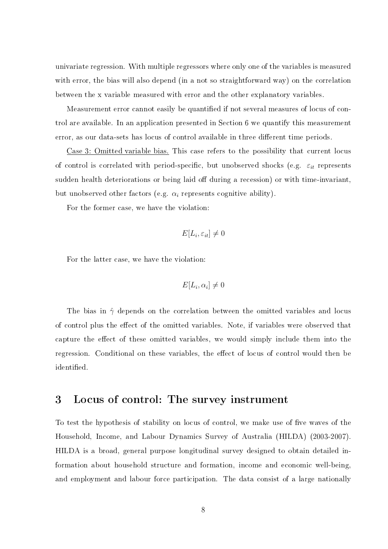univariate regression. With multiple regressors where only one of the variables is measured with error, the bias will also depend (in a not so straightforward way) on the correlation between the x variable measured with error and the other explanatory variables.

Measurement error cannot easily be quantified if not several measures of locus of control are available. In an application presented in Section 6 we quantify this measurement error, as our data-sets has locus of control available in three different time periods.

Case 3: Omitted variable bias. This case refers to the possibility that current locus of control is correlated with period-specific, but unobserved shocks (e.g.  $\varepsilon_{it}$  represents sudden health deteriorations or being laid off during a recession) or with time-invariant, but unobserved other factors (e.g.  $\alpha_i$  represents cognitive ability).

For the former case, we have the violation:

$$
E[L_i, \varepsilon_{it}] \neq 0
$$

For the latter case, we have the violation:

$$
E[L_i, \alpha_i] \neq 0
$$

The bias in  $\hat{\gamma}$  depends on the correlation between the omitted variables and locus of control plus the effect of the omitted variables. Note, if variables were observed that capture the effect of these omitted variables, we would simply include them into the regression. Conditional on these variables, the effect of locus of control would then be identified.

## 3 Locus of control: The survey instrument

To test the hypothesis of stability on locus of control, we make use of five waves of the Household, Income, and Labour Dynamics Survey of Australia (HILDA) (2003-2007). HILDA is a broad, general purpose longitudinal survey designed to obtain detailed information about household structure and formation, income and economic well-being, and employment and labour force participation. The data consist of a large nationally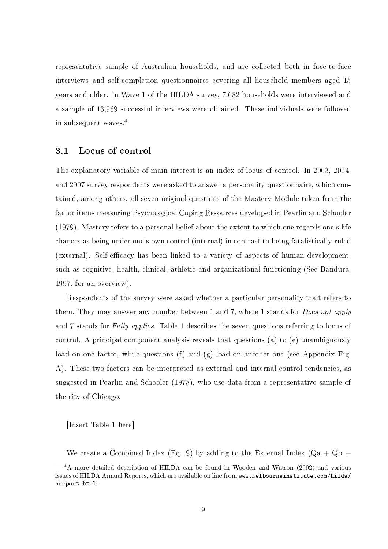representative sample of Australian households, and are collected both in face-to-face interviews and self-completion questionnaires covering all household members aged 15 years and older. In Wave 1 of the HILDA survey, 7,682 households were interviewed and a sample of 13,969 successful interviews were obtained. These individuals were followed in subsequent waves.<sup>4</sup>

#### 3.1 Locus of control

The explanatory variable of main interest is an index of locus of control. In 2003, 2004, and 2007 survey respondents were asked to answer a personality questionnaire, which contained, among others, all seven original questions of the Mastery Module taken from the factor items measuring Psychological Coping Resources developed in Pearlin and Schooler (1978). Mastery refers to a personal belief about the extent to which one regards one's life chances as being under one's own control (internal) in contrast to being fatalistically ruled (external). Self-efficacy has been linked to a variety of aspects of human development. such as cognitive, health, clinical, athletic and organizational functioning (See Bandura, 1997, for an overview).

Respondents of the survey were asked whether a particular personality trait refers to them. They may answer any number between 1 and 7, where 1 stands for *Does not apply* and 7 stands for Fully applies. Table 1 describes the seven questions referring to locus of control. A principal component analysis reveals that questions (a) to (e) unambiguously load on one factor, while questions (f) and (g) load on another one (see Appendix Fig. A). These two factors can be interpreted as external and internal control tendencies, as suggested in Pearlin and Schooler (1978), who use data from a representative sample of the city of Chicago.

[Insert Table 1 here]

We create a Combined Index (Eq. 9) by adding to the External Index ( $Qa + Qb$  +

<sup>4</sup>A more detailed description of HILDA can be found in Wooden and Watson (2002) and various issues of HILDA Annual Reports, which are available on line from www.melbourneinstitute.com/hilda/ areport.html.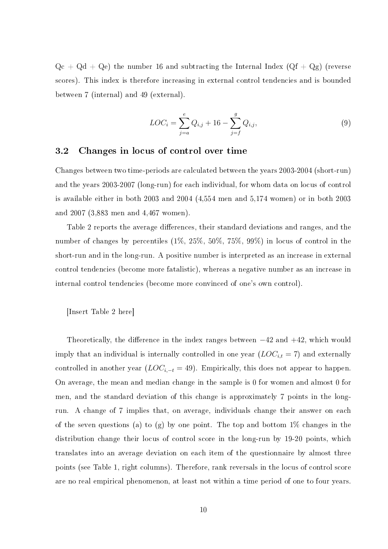$Qc + Qd + Qe$ ) the number 16 and subtracting the Internal Index  $(Qf + Qg)$  (reverse scores). This index is therefore increasing in external control tendencies and is bounded between 7 (internal) and 49 (external).

$$
LOC_i = \sum_{j=a}^{e} Q_{i,j} + 16 - \sum_{j=f}^{g} Q_{i,j},
$$
\n(9)

#### 3.2 Changes in locus of control over time

Changes between two time-periods are calculated between the years 2003-2004 (short-run) and the years 2003-2007 (long-run) for each individual, for whom data on locus of control is available either in both 2003 and 2004 (4,554 men and 5,174 women) or in both 2003 and 2007 (3,883 men and 4,467 women).

Table 2 reports the average differences, their standard deviations and ranges, and the number of changes by percentiles (1%, 25%, 50%, 75%, 99%) in locus of control in the short-run and in the long-run. A positive number is interpreted as an increase in external control tendencies (become more fatalistic), whereas a negative number as an increase in internal control tendencies (become more convinced of one's own control).

[Insert Table 2 here]

Theoretically, the difference in the index ranges between  $-42$  and  $+42$ , which would imply that an individual is internally controlled in one year  $(LOC_{i,t} = 7)$  and externally controlled in another year  $(LOC_{i,-t} = 49)$ . Empirically, this does not appear to happen. On average, the mean and median change in the sample is 0 for women and almost 0 for men, and the standard deviation of this change is approximately 7 points in the longrun. A change of 7 implies that, on average, individuals change their answer on each of the seven questions (a) to (g) by one point. The top and bottom  $1\%$  changes in the distribution change their locus of control score in the long-run by 19-20 points, which translates into an average deviation on each item of the questionnaire by almost three points (see Table 1, right columns). Therefore, rank reversals in the locus of control score are no real empirical phenomenon, at least not within a time period of one to four years.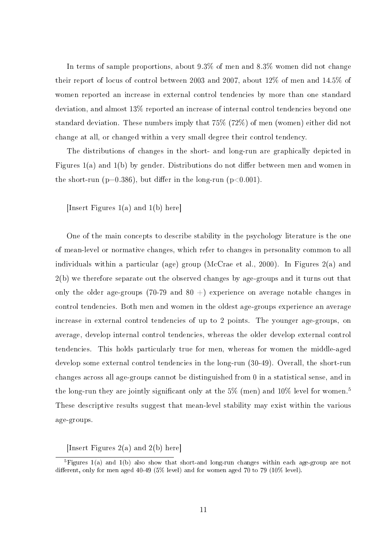In terms of sample proportions, about 9.3% of men and 8.3% women did not change their report of locus of control between 2003 and 2007, about 12% of men and 14.5% of women reported an increase in external control tendencies by more than one standard deviation, and almost 13% reported an increase of internal control tendencies beyond one standard deviation. These numbers imply that 75% (72%) of men (women) either did not change at all, or changed within a very small degree their control tendency.

The distributions of changes in the short- and long-run are graphically depicted in Figures  $1(a)$  and  $1(b)$  by gender. Distributions do not differ between men and women in the short-run ( $p=0.386$ ), but differ in the long-run ( $p<0.001$ ).

[Insert Figures 1(a) and 1(b) here]

One of the main concepts to describe stability in the psychology literature is the one of mean-level or normative changes, which refer to changes in personality common to all individuals within a particular (age) group (McCrae et al., 2000). In Figures 2(a) and 2(b) we therefore separate out the observed changes by age-groups and it turns out that only the older age-groups (70-79 and 80  $+$ ) experience on average notable changes in control tendencies. Both men and women in the oldest age-groups experience an average increase in external control tendencies of up to 2 points. The younger age-groups, on average, develop internal control tendencies, whereas the older develop external control tendencies. This holds particularly true for men, whereas for women the middle-aged develop some external control tendencies in the long-run (30-49). Overall, the short-run changes across all age-groups cannot be distinguished from 0 in a statistical sense, and in the long-run they are jointly significant only at the 5% (men) and 10% level for women.<sup>5</sup> These descriptive results suggest that mean-level stability may exist within the various age-groups.

[Insert Figures 2(a) and 2(b) here]

<sup>&</sup>lt;sup>5</sup>Figures 1(a) and 1(b) also show that short-and long-run changes within each age-group are not different, only for men aged  $40-49$  ( $5\%$  level) and for women aged  $70$  to  $79$  ( $10\%$  level).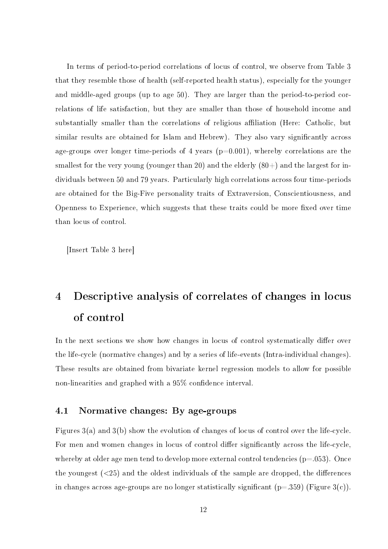In terms of period-to-period correlations of locus of control, we observe from Table 3 that they resemble those of health (self-reported health status), especially for the younger and middle-aged groups (up to age 50). They are larger than the period-to-period correlations of life satisfaction, but they are smaller than those of household income and substantially smaller than the correlations of religious affiliation (Here: Catholic, but similar results are obtained for Islam and Hebrew). They also vary significantly across age-groups over longer time-periods of 4 years  $(p=0.001)$ , whereby correlations are the smallest for the very young (younger than 20) and the elderly  $(80+)$  and the largest for individuals between 50 and 79 years. Particularly high correlations across four time-periods are obtained for the Big-Five personality traits of Extraversion, Conscientiousness, and Openness to Experience, which suggests that these traits could be more fixed over time than locus of control.

[Insert Table 3 here]

## 4 Descriptive analysis of correlates of changes in locus of control

In the next sections we show how changes in locus of control systematically differ over the life-cycle (normative changes) and by a series of life-events (Intra-individual changes). These results are obtained from bivariate kernel regression models to allow for possible non-linearities and graphed with a 95% confidence interval.

#### 4.1 Normative changes: By age-groups

Figures 3(a) and 3(b) show the evolution of changes of locus of control over the life-cycle. For men and women changes in locus of control differ significantly across the life-cycle, whereby at older age men tend to develop more external control tendencies  $(p=.053)$ . Once the youngest  $\left( \langle 25 \rangle \right)$  and the oldest individuals of the sample are dropped, the differences in changes across age-groups are no longer statistically significant  $(p=.359)$  (Figure 3(c)).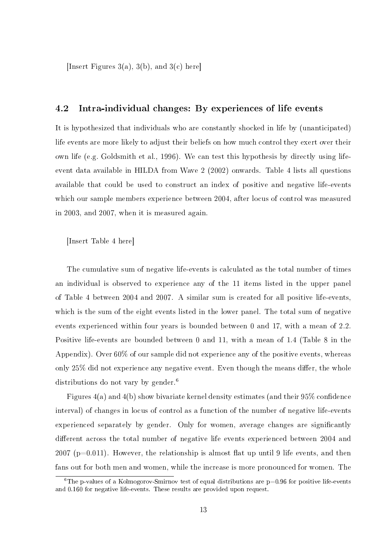[Insert Figures 3(a), 3(b), and 3(c) here]

#### 4.2 Intra-individual changes: By experiences of life events

It is hypothesized that individuals who are constantly shocked in life by (unanticipated) life events are more likely to adjust their beliefs on how much control they exert over their own life (e.g. Goldsmith et al., 1996). We can test this hypothesis by directly using lifeevent data available in HILDA from Wave 2 (2002) onwards. Table 4 lists all questions available that could be used to construct an index of positive and negative life-events which our sample members experience between 2004, after locus of control was measured in 2003, and 2007, when it is measured again.

[Insert Table 4 here]

The cumulative sum of negative life-events is calculated as the total number of times an individual is observed to experience any of the 11 items listed in the upper panel of Table 4 between 2004 and 2007. A similar sum is created for all positive life-events, which is the sum of the eight events listed in the lower panel. The total sum of negative events experienced within four years is bounded between 0 and 17, with a mean of 2.2. Positive life-events are bounded between 0 and 11, with a mean of 1.4 (Table 8 in the Appendix). Over 60% of our sample did not experience any of the positive events, whereas only  $25\%$  did not experience any negative event. Even though the means differ, the whole distributions do not vary by gender.<sup>6</sup>

Figures  $4(a)$  and  $4(b)$  show bivariate kernel density estimates (and their  $95\%$  confidence interval) of changes in locus of control as a function of the number of negative life-events experienced separately by gender. Only for women, average changes are significantly different across the total number of negative life events experienced between 2004 and  $2007$  (p=0.011). However, the relationship is almost flat up until 9 life events, and then fans out for both men and women, while the increase is more pronounced for women. The

<sup>&</sup>lt;sup>6</sup>The p-values of a Kolmogorov-Smirnov test of equal distributions are  $p=0.96$  for positive life-events and 0.160 for negative life-events. These results are provided upon request.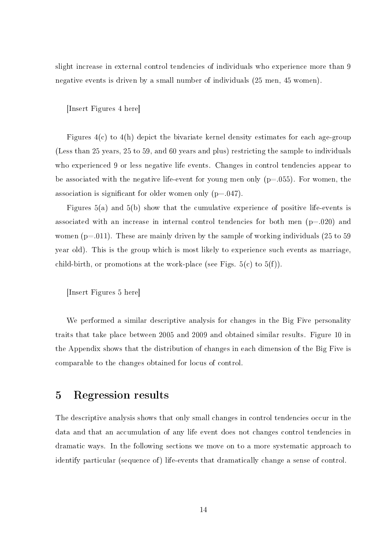slight increase in external control tendencies of individuals who experience more than 9 negative events is driven by a small number of individuals (25 men, 45 women).

[Insert Figures 4 here]

Figures  $4(c)$  to  $4(h)$  depict the bivariate kernel density estimates for each age-group (Less than 25 years, 25 to 59, and 60 years and plus) restricting the sample to individuals who experienced 9 or less negative life events. Changes in control tendencies appear to be associated with the negative life-event for young men only  $(p=.055)$ . For women, the association is significant for older women only  $(p=.047)$ .

Figures 5(a) and 5(b) show that the cumulative experience of positive life-events is associated with an increase in internal control tendencies for both men  $(p=.020)$  and women ( $p=011$ ). These are mainly driven by the sample of working individuals (25 to 59) year old). This is the group which is most likely to experience such events as marriage, child-birth, or promotions at the work-place (see Figs.  $5(c)$  to  $5(f)$ ).

[Insert Figures 5 here]

We performed a similar descriptive analysis for changes in the Big Five personality traits that take place between 2005 and 2009 and obtained similar results. Figure 10 in the Appendix shows that the distribution of changes in each dimension of the Big Five is comparable to the changes obtained for locus of control.

### 5 Regression results

The descriptive analysis shows that only small changes in control tendencies occur in the data and that an accumulation of any life event does not changes control tendencies in dramatic ways. In the following sections we move on to a more systematic approach to identify particular (sequence of) life-events that dramatically change a sense of control.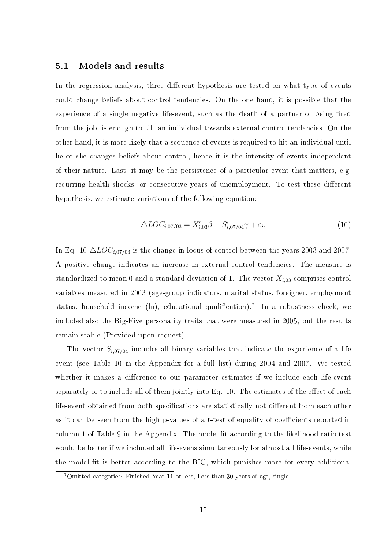#### 5.1 Models and results

In the regression analysis, three different hypothesis are tested on what type of events could change beliefs about control tendencies. On the one hand, it is possible that the experience of a single negative life-event, such as the death of a partner or being fired from the job, is enough to tilt an individual towards external control tendencies. On the other hand, it is more likely that a sequence of events is required to hit an individual until he or she changes beliefs about control, hence it is the intensity of events independent of their nature. Last, it may be the persistence of a particular event that matters, e.g. recurring health shocks, or consecutive years of unemployment. To test these different hypothesis, we estimate variations of the following equation:

$$
\triangle LOC_{i,07/03} = X'_{i,03}\beta + S'_{i,07/04}\gamma + \varepsilon_i,
$$
\n(10)

In Eq. 10  $\triangle LOC_{i.07/03}$  is the change in locus of control between the years 2003 and 2007. A positive change indicates an increase in external control tendencies. The measure is standardized to mean 0 and a standard deviation of 1. The vector  $X_{i,03}$  comprises control variables measured in 2003 (age-group indicators, marital status, foreigner, employment status, household income (ln), educational qualification).<sup>7</sup> In a robustness check, we included also the Big-Five personality traits that were measured in 2005, but the results remain stable (Provided upon request).

The vector  $S_{i,07/04}$  includes all binary variables that indicate the experience of a life event (see Table 10 in the Appendix for a full list) during 2004 and 2007. We tested whether it makes a difference to our parameter estimates if we include each life-event separately or to include all of them jointly into Eq. 10. The estimates of the effect of each life-event obtained from both specifications are statistically not different from each other as it can be seen from the high p-values of a t-test of equality of coefficients reported in column 1 of Table 9 in the Appendix. The model fit according to the likelihood ratio test would be better if we included all life-evens simultaneously for almost all life-events, while the model fit is better according to the BIC, which punishes more for every additional

<sup>7</sup>Omitted categories: Finished Year 11 or less, Less than 30 years of age, single.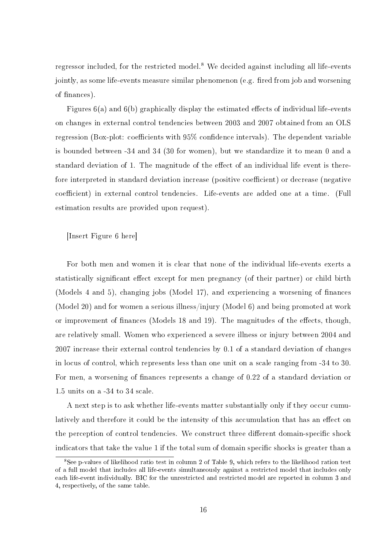regressor included, for the restricted model.<sup>8</sup> We decided against including all life-events jointly, as some life-events measure similar phenomenon (e.g. fired from job and worsening of finances).

Figures  $6(a)$  and  $6(b)$  graphically display the estimated effects of individual life-events on changes in external control tendencies between 2003 and 2007 obtained from an OLS regression (Box-plot: coefficients with  $95\%$  confidence intervals). The dependent variable is bounded between -34 and 34 (30 for women), but we standardize it to mean 0 and a standard deviation of 1. The magnitude of the effect of an individual life event is therefore interpreted in standard deviation increase (positive coefficient) or decrease (negative coefficient) in external control tendencies. Life-events are added one at a time. (Full estimation results are provided upon request).

#### [Insert Figure 6 here]

For both men and women it is clear that none of the individual life-events exerts a statistically significant effect except for men pregnancy (of their partner) or child birth (Models 4 and 5), changing jobs (Model 17), and experiencing a worsening of finances (Model 20) and for women a serious illness/injury (Model 6) and being promoted at work or improvement of finances (Models 18 and 19). The magnitudes of the effects, though, are relatively small. Women who experienced a severe illness or injury between 2004 and 2007 increase their external control tendencies by 0.1 of a standard deviation of changes in locus of control, which represents less than one unit on a scale ranging from -34 to 30. For men, a worsening of finances represents a change of 0.22 of a standard deviation or 1.5 units on a -34 to 34 scale.

A next step is to ask whether life-events matter substantially only if they occur cumulatively and therefore it could be the intensity of this accumulation that has an effect on the perception of control tendencies. We construct three different domain-specific shock indicators that take the value 1 if the total sum of domain specific shocks is greater than a

<sup>8</sup>See p-values of likelihood ratio test in column 2 of Table 9, which refers to the likelihood ration test of a full model that includes all life-events simultaneously against a restricted model that includes only each life-event individually. BIC for the unrestricted and restricted model are reported in column 3 and 4, respectively, of the same table.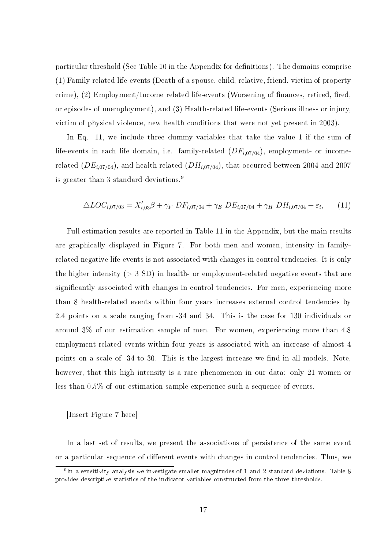particular threshold (See Table 10 in the Appendix for definitions). The domains comprise (1) Family related life-events (Death of a spouse, child, relative, friend, victim of property crime),  $(2)$  Employment/Income related life-events (Worsening of finances, retired, fired, or episodes of unemployment), and (3) Health-related life-events (Serious illness or injury, victim of physical violence, new health conditions that were not yet present in 2003).

In Eq. 11, we include three dummy variables that take the value 1 if the sum of life-events in each life domain, i.e. family-related  $(DF_{i,07/04})$ , employment- or incomerelated  $(DE_{i,07/04})$ , and health-related  $(DH_{i,07/04})$ , that occurred between 2004 and 2007 is greater than 3 standard deviations.<sup>9</sup>

$$
\triangle LOC_{i,07/03} = X'_{i,03}\beta + \gamma_F DF_{i,07/04} + \gamma_E DE_{i,07/04} + \gamma_H DH_{i,07/04} + \varepsilon_i,
$$
 (11)

Full estimation results are reported in Table 11 in the Appendix, but the main results are graphically displayed in Figure 7. For both men and women, intensity in familyrelated negative life-events is not associated with changes in control tendencies. It is only the higher intensity ( $> 3$  SD) in health- or employment-related negative events that are significantly associated with changes in control tendencies. For men, experiencing more than 8 health-related events within four years increases external control tendencies by 2.4 points on a scale ranging from -34 and 34. This is the case for 130 individuals or around 3% of our estimation sample of men. For women, experiencing more than 4.8 employment-related events within four years is associated with an increase of almost 4 points on a scale of  $-34$  to 30. This is the largest increase we find in all models. Note, however, that this high intensity is a rare phenomenon in our data: only 21 women or less than 0.5% of our estimation sample experience such a sequence of events.

[Insert Figure 7 here]

In a last set of results, we present the associations of persistence of the same event or a particular sequence of different events with changes in control tendencies. Thus, we

 $9\,\text{In}$  a sensitivity analysis we investigate smaller magnitudes of 1 and 2 standard deviations. Table 8 provides descriptive statistics of the indicator variables constructed from the three thresholds.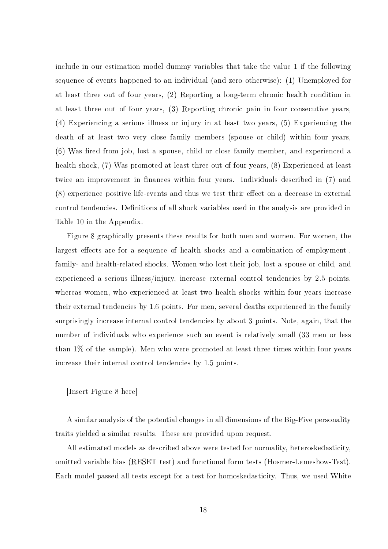include in our estimation model dummy variables that take the value 1 if the following sequence of events happened to an individual (and zero otherwise): (1) Unemployed for at least three out of four years, (2) Reporting a long-term chronic health condition in at least three out of four years, (3) Reporting chronic pain in four consecutive years, (4) Experiencing a serious illness or injury in at least two years, (5) Experiencing the death of at least two very close family members (spouse or child) within four years,  $(6)$  Was fired from job, lost a spouse, child or close family member, and experienced a health shock, (7) Was promoted at least three out of four years, (8) Experienced at least twice an improvement in finances within four years. Individuals described in (7) and (8) experience positive life-events and thus we test their effect on a decrease in external control tendencies. Definitions of all shock variables used in the analysis are provided in Table 10 in the Appendix.

Figure 8 graphically presents these results for both men and women. For women, the largest effects are for a sequence of health shocks and a combination of employment-. family- and health-related shocks. Women who lost their job, lost a spouse or child, and experienced a serious illness/injury, increase external control tendencies by 2.5 points, whereas women, who experienced at least two health shocks within four years increase their external tendencies by 1.6 points. For men, several deaths experienced in the family surprisingly increase internal control tendencies by about 3 points. Note, again, that the number of individuals who experience such an event is relatively small (33 men or less than 1% of the sample). Men who were promoted at least three times within four years increase their internal control tendencies by 1.5 points.

#### [Insert Figure 8 here]

A similar analysis of the potential changes in all dimensions of the Big-Five personality traits yielded a similar results. These are provided upon request.

All estimated models as described above were tested for normality, heteroskedasticity, omitted variable bias (RESET test) and functional form tests (Hosmer-Lemeshow-Test). Each model passed all tests except for a test for homoskedasticity. Thus, we used White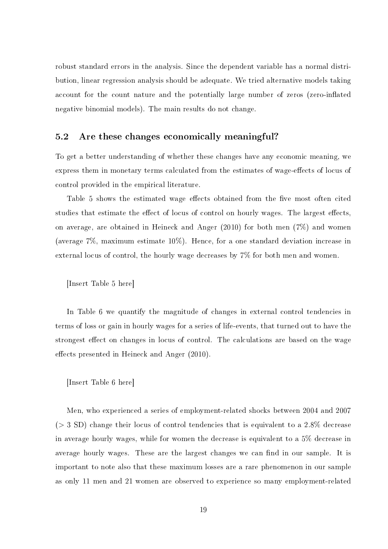robust standard errors in the analysis. Since the dependent variable has a normal distribution, linear regression analysis should be adequate. We tried alternative models taking account for the count nature and the potentially large number of zeros (zero-inflated negative binomial models). The main results do not change.

#### 5.2 Are these changes economically meaningful?

To get a better understanding of whether these changes have any economic meaning, we express them in monetary terms calculated from the estimates of wage-effects of locus of control provided in the empirical literature.

Table 5 shows the estimated wage effects obtained from the five most often cited studies that estimate the effect of locus of control on hourly wages. The largest effects, on average, are obtained in Heineck and Anger (2010) for both men (7%) and women (average 7%, maximum estimate 10%). Hence, for a one standard deviation increase in external locus of control, the hourly wage decreases by 7% for both men and women.

[Insert Table 5 here]

In Table 6 we quantify the magnitude of changes in external control tendencies in terms of loss or gain in hourly wages for a series of life-events, that turned out to have the strongest effect on changes in locus of control. The calculations are based on the wage effects presented in Heineck and Anger  $(2010)$ .

[Insert Table 6 here]

Men, who experienced a series of employment-related shocks between 2004 and 2007  $(> 3 SD)$  change their locus of control tendencies that is equivalent to a 2.8% decrease in average hourly wages, while for women the decrease is equivalent to a 5% decrease in average hourly wages. These are the largest changes we can find in our sample. It is important to note also that these maximum losses are a rare phenomenon in our sample as only 11 men and 21 women are observed to experience so many employment-related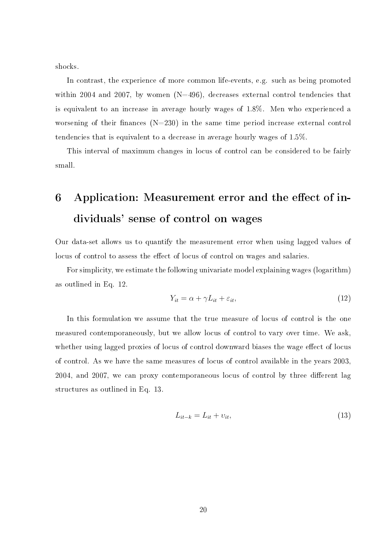shocks.

In contrast, the experience of more common life-events, e.g. such as being promoted within 2004 and 2007, by women  $(N=496)$ , decreases external control tendencies that is equivalent to an increase in average hourly wages of 1.8%. Men who experienced a worsening of their finances  $(N=230)$  in the same time period increase external control tendencies that is equivalent to a decrease in average hourly wages of 1.5%.

This interval of maximum changes in locus of control can be considered to be fairly small.

## 6 Application: Measurement error and the effect of individuals' sense of control on wages

Our data-set allows us to quantify the measurement error when using lagged values of locus of control to assess the effect of locus of control on wages and salaries.

For simplicity, we estimate the following univariate model explaining wages (logarithm) as outlined in Eq. 12.

$$
Y_{it} = \alpha + \gamma L_{it} + \varepsilon_{it},\tag{12}
$$

In this formulation we assume that the true measure of locus of control is the one measured contemporaneously, but we allow locus of control to vary over time. We ask, whether using lagged proxies of locus of control downward biases the wage effect of locus of control. As we have the same measures of locus of control available in the years 2003, 2004, and 2007, we can proxy contemporaneous locus of control by three different lag structures as outlined in Eq. 13.

$$
L_{it-k} = L_{it} + v_{it},\tag{13}
$$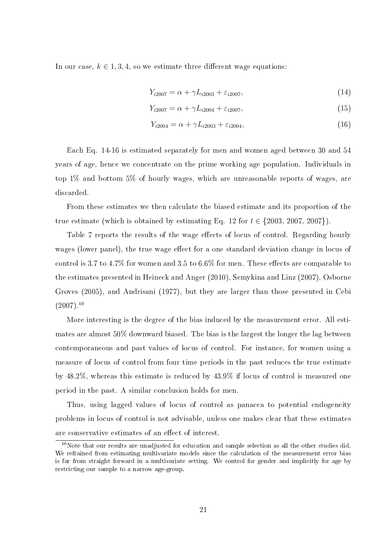In our case,  $k \in 1, 3, 4$ , so we estimate three different wage equations:

$$
Y_{i2007} = \alpha + \gamma L_{i2003} + \varepsilon_{i2007},\tag{14}
$$

$$
Y_{i2007} = \alpha + \gamma L_{i2004} + \varepsilon_{i2007},\tag{15}
$$

$$
Y_{i2004} = \alpha + \gamma L_{i2003} + \varepsilon_{i2004},\tag{16}
$$

Each Eq. 14-16 is estimated separately for men and women aged between 30 and 54 years of age, hence we concentrate on the prime working age population. Individuals in top 1% and bottom 5% of hourly wages, which are unreasonable reports of wages, are discarded.

From these estimates we then calculate the biased estimate and its proportion of the true estimate (which is obtained by estimating Eq. 12 for  $t \in \{2003, 2007, 2007\}$ ).

Table 7 reports the results of the wage effects of locus of control. Regarding hourly wages (lower panel), the true wage effect for a one standard deviation change in locus of control is 3.7 to 4.7% for women and 3.5 to 6.6% for men. These effects are comparable to the estimates presented in Heineck and Anger (2010), Semykina and Linz (2007), Osborne Groves (2005), and Andrisani (1977), but they are larger than those presented in Cebi  $(2007).^{10}$ 

More interesting is the degree of the bias induced by the measurement error. All estimates are almost 50% downward biased. The bias is the largest the longer the lag between contemporaneous and past values of locus of control. For instance, for women using a measure of locus of control from four time periods in the past reduces the true estimate by 48.2%, whereas this estimate is reduced by 43.9% if locus of control is measured one period in the past. A similar conclusion holds for men.

Thus, using lagged values of locus of control as panacea to potential endogeneity problems in locus of control is not advisable, unless one makes clear that these estimates are conservative estimates of an effect of interest.

 $10$ Note that our results are unadjusted for education and sample selection as all the other studies did. We refrained from estimating multivariate models since the calculation of the measurement error bias is far from straight forward in a multivariate setting. We control for gender and implicitly for age by restricting our sample to a narrow age-group.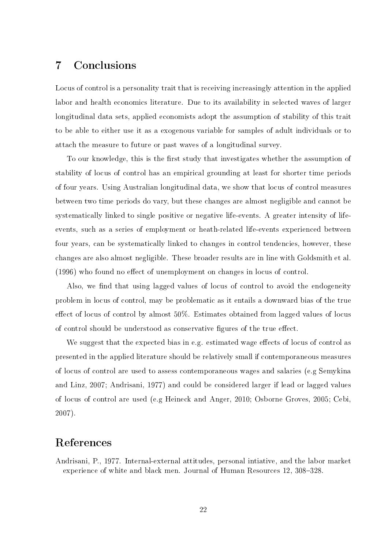## 7 Conclusions

Locus of control is a personality trait that is receiving increasingly attention in the applied labor and health economics literature. Due to its availability in selected waves of larger longitudinal data sets, applied economists adopt the assumption of stability of this trait to be able to either use it as a exogenous variable for samples of adult individuals or to attach the measure to future or past waves of a longitudinal survey.

To our knowledge, this is the first study that investigates whether the assumption of stability of locus of control has an empirical grounding at least for shorter time periods of four years. Using Australian longitudinal data, we show that locus of control measures between two time periods do vary, but these changes are almost negligible and cannot be systematically linked to single positive or negative life-events. A greater intensity of lifeevents, such as a series of employment or heath-related life-events experienced between four years, can be systematically linked to changes in control tendencies, however, these changes are also almost negligible. These broader results are in line with Goldsmith et al.  $(1996)$  who found no effect of unemployment on changes in locus of control.

Also, we find that using lagged values of locus of control to avoid the endogeneity problem in locus of control, may be problematic as it entails a downward bias of the true effect of locus of control by almost  $50\%$ . Estimates obtained from lagged values of locus of control should be understood as conservative figures of the true effect.

We suggest that the expected bias in e.g. estimated wage effects of locus of control as presented in the applied literature should be relatively small if contemporaneous measures of locus of control are used to assess contemporaneous wages and salaries (e.g Semykina and Linz, 2007; Andrisani, 1977) and could be considered larger if lead or lagged values of locus of control are used (e.g Heineck and Anger, 2010; Osborne Groves, 2005; Cebi, 2007).

## References

Andrisani, P., 1977. Internal-external attitudes, personal intiative, and the labor market experience of white and black men. Journal of Human Resources 12, 308–328.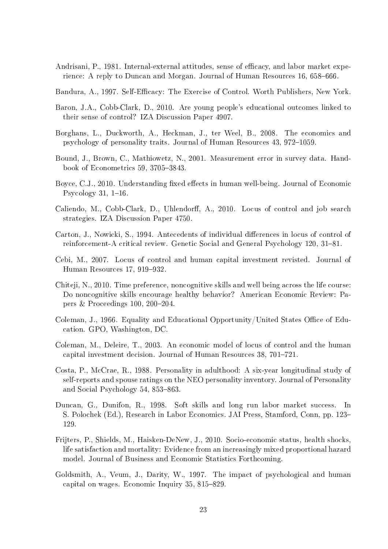- Andrisani, P., 1981. Internal-external attitudes, sense of efficacy, and labor market experience: A reply to Duncan and Morgan. Journal of Human Resources 16, 658–666.
- Bandura, A., 1997. Self-Efficacy: The Exercise of Control. Worth Publishers, New York.
- Baron, J.A., Cobb-Clark, D., 2010. Are young people's educational outcomes linked to their sense of control? IZA Discussion Paper 4907.
- Borghans, L., Duckworth, A., Heckman, J., ter Weel, B., 2008. The economics and psychology of personality traits. Journal of Human Resources 43, 972–1059.
- Bound, J., Brown, C., Mathiowetz, N., 2001. Measurement error in survey data. Handbook of Econometrics 59, 3705-3843.
- Boyce, C.J., 2010. Understanding fixed effects in human well-being. Journal of Economic Psycology 31,  $1-16$ .
- Caliendo, M., Cobb-Clark, D., Uhlendorff, A., 2010. Locus of control and job search strategies. IZA Discussion Paper 4750.
- Carton, J., Nowicki, S., 1994. Antecedents of individual differences in locus of control of reinforcement-A critical review. Genetic Social and General Psychology  $120, 31-81$ .
- Cebi, M., 2007. Locus of control and human capital investment revisted. Journal of Human Resources 17, 919-932
- Chiteji, N., 2010. Time preference, noncognitive skills and well being across the life course: Do noncognitive skills encourage healthy behavior? American Economic Review: Papers & Proceedings 100,  $200-204$ .
- Coleman, J., 1966. Equality and Educational Opportunity/United States Office of Education. GPO, Washington, DC.
- Coleman, M., Deleire, T., 2003. An economic model of locus of control and the human capital investment decision. Journal of Human Resources  $38, 701-721$ .
- Costa, P., McCrae, R., 1988. Personality in adulthood: A six-year longitudinal study of self-reports and spouse ratings on the NEO personality inventory. Journal of Personality and Social Psychology  $54, 853-863$ .
- Duncan, G., Dunifon, R., 1998. Soft skills and long run labor market success. In S. Polochek (Ed.), Research in Labor Economics. JAI Press, Stamford, Conn, pp. 123 129.
- Frijters, P., Shields, M., Haisken-DeNew, J., 2010. Socio-economic status, health shocks, life satisfaction and mortality: Evidence from an increasingly mixed proportional hazard model. Journal of Business and Economic Statistics Forthcoming.
- Goldsmith, A., Veum, J., Darity, W., 1997. The impact of psychological and human capital on wages. Economic Inquiry  $35, 815-829$ .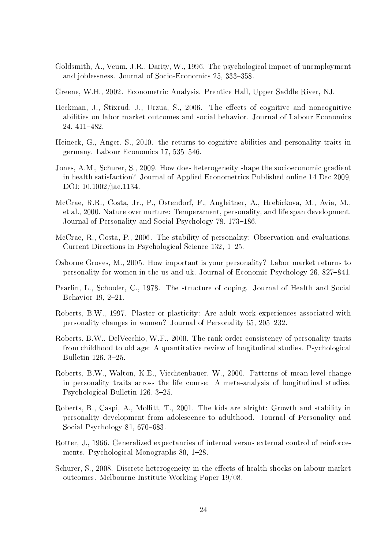- Goldsmith, A., Veum, J.R., Darity, W., 1996. The psychological impact of unemployment and joblessness. Journal of Socio-Economics 25, 333-358.
- Greene, W.H., 2002. Econometric Analysis. Prentice Hall, Upper Saddle River, NJ.
- Heckman, J., Stixrud, J., Urzua, S., 2006. The effects of cognitive and noncognitive abilities on labor market outcomes and social behavior. Journal of Labour Economics 24, 411-482.
- Heineck, G., Anger, S., 2010. the returns to cognitive abilities and personality traits in germany. Labour Economics 17, 535–546.
- Jones, A.M., Schurer, S., 2009. How does heterogeneity shape the socioeconomic gradient in health satisfaction? Journal of Applied Econometrics Published online 14 Dec 2009, DOI: 10.1002/jae.1134.
- McCrae, R.R., Costa, Jr., P., Ostendorf, F., Angleitner, A., Hrebickova, M., Avia, M., et al., 2000. Nature over nurture: Temperament, personality, and life span development. Journal of Personality and Social Psychology 78, 173–186.
- McCrae, R., Costa, P., 2006. The stability of personality: Observation and evaluations. Current Directions in Psychological Science 132, 1–25.
- Osborne Groves, M., 2005. How important is your personality? Labor market returns to personality for women in the us and uk. Journal of Economic Psychology 26, 827841.
- Pearlin, L., Schooler, C., 1978. The structure of coping. Journal of Health and Social Behavior 19, 2-21.
- Roberts, B.W., 1997. Plaster or plasticity: Are adult work experiences associated with personality changes in women? Journal of Personality 65, 205-232.
- Roberts, B.W., DelVecchio, W.F., 2000. The rank-order consistency of personality traits from childhood to old age: A quantitative review of longitudinal studies. Psychological Bulletin 126, 3-25.
- Roberts, B.W., Walton, K.E., Viechtenbauer, W., 2000. Patterns of mean-level change in personality traits across the life course: A meta-analysis of longitudinal studies. Psychological Bulletin 126, 3-25.
- Roberts, B., Caspi, A., Moffitt, T., 2001. The kids are alright: Growth and stability in personality development from adolescence to adulthood. Journal of Personality and Social Psychology 81,  $670-683$ .
- Rotter, J., 1966. Generalized expectancies of internal versus external control of reinforcements. Psychological Monographs 80, 1-28.
- Schurer, S., 2008. Discrete heterogeneity in the effects of health shocks on labour market outcomes. Melbourne Institute Working Paper 19/08.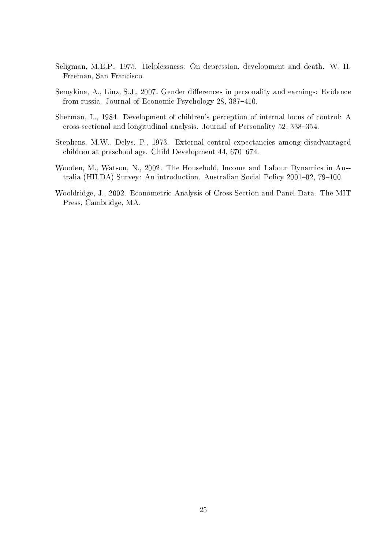- Seligman, M.E.P., 1975. Helplessness: On depression, development and death. W. H. Freeman, San Francisco.
- Semykina, A., Linz, S.J., 2007. Gender differences in personality and earnings: Evidence from russia. Journal of Economic Psychology 28, 387-410.
- Sherman, L., 1984. Development of children's perception of internal locus of control: A cross-sectional and longitudinal analysis. Journal of Personality 52, 338-354.
- Stephens, M.W., Delys, P., 1973. External control expectancies among disadvantaged children at preschool age. Child Development 44, 670–674.
- Wooden, M., Watson, N., 2002. The Household, Income and Labour Dynamics in Australia (HILDA) Survey: An introduction. Australian Social Policy  $2001-02$ ,  $79-100$ .
- Wooldridge, J., 2002. Econometric Analysis of Cross Section and Panel Data. The MIT Press, Cambridge, MA.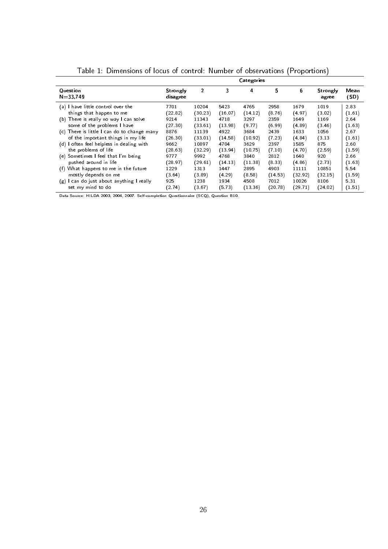|                                             |                      |                |         | <b>Categories</b> |         |         |                   |              |
|---------------------------------------------|----------------------|----------------|---------|-------------------|---------|---------|-------------------|--------------|
| Question<br>$N = 33,749$                    | Strongly<br>disagree | $\overline{2}$ | 3       | 4                 | 5       | 6       | Strongly<br>agree | Mean<br>(SD) |
| (a) I have little control over the          | 7701                 | 10204          | 5423    | 4765              | 2958    | 1679    | 1019              | 2.83         |
| things that happen to me                    | (22.82)              | (30.23)        | (16.07) | (14.12)           | (8.76)  | (4.97)  | (3.02)            | (1.61)       |
| (b) There is really no way I can solve      | 9214                 | 11343          | 4718    | 3297              | 2359    | 1649    | 1169              | 2.64         |
| some of the problems I have                 | (27.30)              | (33.61)        | (13.98) | (9.77)            | (6.99)  | (4.89)  | (3.46)            | (1.63)       |
| (c) There is little I can do to change many | 8876                 | 11139          | 4922    | 3684              | 2439    | 1633    | 1056              | 2.67         |
| of the important things in my life          | (26.30)              | (33.01)        | (14.58) | (10.92)           | (7.23)  | (4.84)  | (3.13)            | (1.61)       |
| (d) I often feel helpless in dealing with   | 9662                 | 10897          | 4704    | 3629              | 2397    | 1585    | 875               | 2.60         |
| the problems of life                        | (28.63)              | (32.29)        | (13.94) | (10.75)           | (7.10)  | (4.70)  | (2.59)            | (1.59)       |
| (e) Sometimes I feel that I'm being         | 9777                 | 9992           | 4768    | 3840              | 2812    | 1640    | 920               | 2.66         |
| pushed around in life                       | (28.97)              | (29.61)        | (14.13) | (11.38)           | (8.33)  | (4.86)  | (2.73)            | (1.63)       |
| (f) What happens to me in the future        | 1229                 | 1313           | 1447    | 2895              | 4903    | 11111   | 10851             | 5.54         |
| mostly depends on me                        | (3.64)               | (3.89)         | (4.29)  | (8.58)            | (14.53) | (32.92) | (32.15)           | (1.59)       |
| (g) I can do just about anything I really   | 925                  | 1238           | 1934    | 4508              | 7012    | 10026   | 8106              | 531          |
| set my mind to do                           | (2.74)               | (3.67)         | (5.73)  | (13.36)           | (20.78) | (2971)  | (24.02)           | (1.51)       |

Table 1: Dimensions of locus of control: Number of observations (Proportions)

Data Source: HILDA 2003, 2004, 2007. Self-completion Questionnaire (SCQ), Question B10.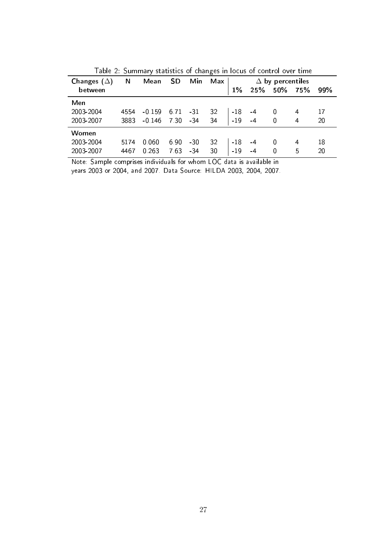| Changes $(\Delta)$ | N    | Mean     | SD   | Min   | Max |       | Δ   | by percentiles |     |     |
|--------------------|------|----------|------|-------|-----|-------|-----|----------------|-----|-----|
| between            |      |          |      |       |     | $1\%$ | 25% | 50%            | 75% | 99% |
| Men                |      |          |      |       |     |       |     |                |     |     |
| 2003-2004          | 4554 | $-0.159$ | 6.71 | -31   | 32  | $-18$ | -4  | 0              | 4   | 17  |
| 2003-2007          | 3883 | $-0.146$ | 7 30 | $-34$ | 34  | $-19$ | -4  | 0              | 4   | 20  |
| Women              |      |          |      |       |     |       |     |                |     |     |
| 2003-2004          | 5174 | 0.060    | 6.90 | -30   | 32  | $-18$ | -4  | 0              | 4   | 18  |
| 2003-2007          | 4467 | 0.263    | 7.63 | -34   | 30  | $-19$ | -4  | 0              | 5   | 20  |

Table 2: Summary statistics of changes in locus of control over time

Note: Sample comprises individuals for whom LOC data is available in

years 2003 or 2004, and 2007. Data Source: HILDA 2003, 2004, 2007.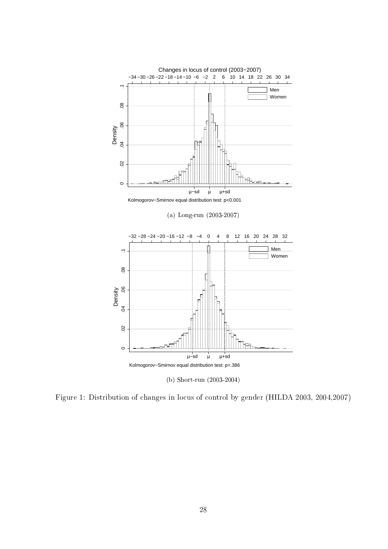

Figure 1: Distribution of changes in locus of control by gender (HILDA 2003, 2004,2007)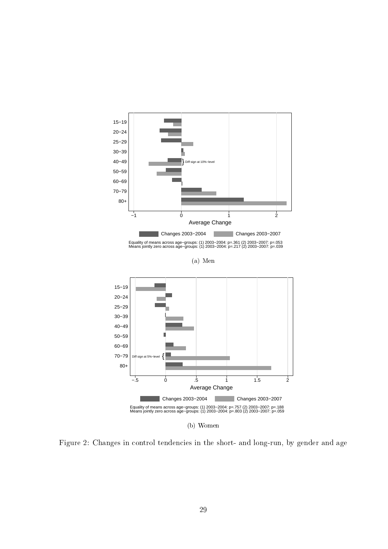

Figure 2: Changes in control tendencies in the short- and long-run, by gender and age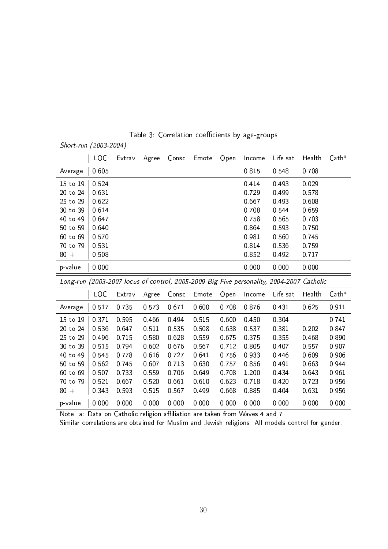| Short-run (2003-2004) |         |         |       |         |       |       |         |                                                                                          |         |                   |
|-----------------------|---------|---------|-------|---------|-------|-------|---------|------------------------------------------------------------------------------------------|---------|-------------------|
|                       | LOC     | Extrav  | Agree | Consc   | Emote | Open  | Income  | Life sat                                                                                 | Health  | $\mathsf{Cath}^a$ |
| Average               | 0.605   |         |       |         |       |       | 0 8 1 5 | 0 548                                                                                    | 0 708   |                   |
| 15 to 19              | 0.524   |         |       |         |       |       | 0 4 1 4 | 0.493                                                                                    | 0.029   |                   |
| 20 to 24              | 0 6 3 1 |         |       |         |       |       | 0.729   | 0.499                                                                                    | 0.578   |                   |
| 25 to 29              | 0.622   |         |       |         |       |       | 0.667   | 0.493                                                                                    | 0.608   |                   |
| 30 to 39              | 0.614   |         |       |         |       |       | 0.708   | 0 544                                                                                    | 0.659   |                   |
| 40 to 49              | 0.647   |         |       |         |       |       | 0.758   | 0.565                                                                                    | 0.703   |                   |
| 50 to 59              | 0.640   |         |       |         |       |       | 0.864   | 0.593                                                                                    | 0750    |                   |
| 60 to 69              | 0.570   |         |       |         |       |       | 0 981   | 0.560                                                                                    | 0 745   |                   |
| 70 to 79              | 0.531   |         |       |         |       |       | 0 8 1 4 | 0.536                                                                                    | 0.759   |                   |
| $80 +$                | 0.508   |         |       |         |       |       | 0.852   | 0.492                                                                                    | 0 7 1 7 |                   |
| p-value               | 0.000   |         |       |         |       |       | 0.000   | 0.000                                                                                    | 0.000   |                   |
|                       |         |         |       |         |       |       |         | Long-run (2003-2007 locus of control, 2005-2009 Big Five personality, 2004-2007 Catholic |         |                   |
|                       | LOC     | Extrav  | Agree | Consc   | Emote | Open  | Income  | Life sat                                                                                 | Health  | $\mathsf{Cath}^a$ |
| Average               | 0.517   | 0.735   | 0.573 | 0.671   | 0.600 | 0.708 | 0.876   | 0.431                                                                                    | 0.625   | 0.911             |
| 15 to 19              | 0 3 7 1 | 0 5 9 5 | 0.466 | 0 4 9 4 | 0515  | 0.600 | 0.450   | 0.304                                                                                    |         | 0 741             |
| 20 to 24              | 0536    | 0 647   | 0.511 | 0535    | 0.508 | 0.638 | 0.537   | 0.381                                                                                    | 0.202   | 0 847             |
| 25 to 29              | 0.496   | 0 7 1 5 | 0.580 | 0.628   | 0.559 | 0675  | 0 375   | 0.355                                                                                    | 0.468   | 0.890             |
| 30 to 39              | 0 5 1 5 | 0.794   | 0.602 | 0 676   | 0.567 | 0712  | 0.805   | 0 40 7                                                                                   | 0.557   | 0 9 0 7           |
| 40 to 49              | 0 545   | 0.778   | 0.616 | 0 7 2 7 | 0.641 | 0756  | 0.933   | 0.446                                                                                    | 0.609   | 0.906             |
| 50 to 59              | 0.562   | 0745    | 0.607 | 0 7 1 3 | 0.630 | 0.757 | 0.856   | 0.491                                                                                    | 0.663   | 0.944             |
| 60 to 69              | 0.507   | 0.733   | 0.559 | 0.706   | 0.649 | 0.708 | 1.200   | 0.434                                                                                    | 0.643   | 0.961             |
| 70 to 79              | 0.521   | 0 667   | 0.520 | 0.661   | 0.610 | 0623  | 0 7 1 8 | 0.420                                                                                    | 0723    | 0.956             |

Table 3: Correlation coefficients by age-groups

Note: a: Data on Catholic religion affiliation are taken from Waves 4 and 7.

Similar correlations are obtained for Muslim and Jewish religions. All models control for gender.

80 + 0.343 0.593 0.515 0.567 0.499 0.668 0.885 0.404 0.631 0.956 p-value 0.000 0.000 0.000 0.000 0.000 0.000 0.000 0.000 0.000 0.000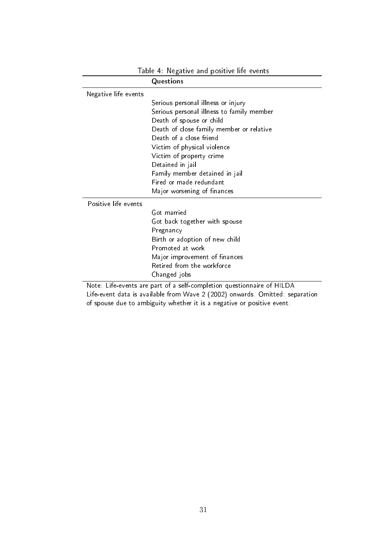|                      | Table 4: Negative and positive life events                            |
|----------------------|-----------------------------------------------------------------------|
|                      | Questions                                                             |
| Negative life events |                                                                       |
|                      | Serious personal illness or injury                                    |
|                      | Serious personal illness to family member                             |
|                      | Death of spouse or child                                              |
|                      | Death of close family member or relative                              |
|                      | Death of a close friend                                               |
|                      | Victim of physical violence                                           |
|                      | Victim of property crime                                              |
|                      | Detained in jail                                                      |
|                      | Family member detained in jail                                        |
|                      | Fired or made redundant                                               |
|                      | Major worsening of finances                                           |
| Positive life events |                                                                       |
|                      | Got married                                                           |
|                      | Got back together with spouse                                         |
|                      | Pregnancy                                                             |
|                      | Birth or adoption of new child                                        |
|                      | Promoted at work                                                      |
|                      | Major improvement of finances                                         |
|                      | Retired from the workforce                                            |
|                      | Changed jobs                                                          |
|                      | Note Life events are part of a self-completion questionnaire of HILDA |

Note: Life-events are part of a self-completion questionnaire of HILDA Life-event data is available from Wave 2 (2002) onwards. Omitted: separation of spouse due to ambiguity whether it is a negative or positive event.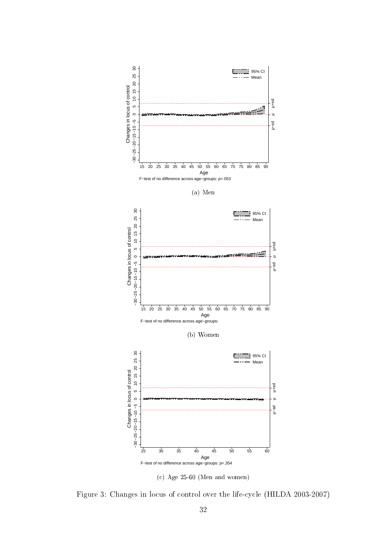

Figure 3: Changes in locus of control over the life-cycle (HILDA 2003-2007)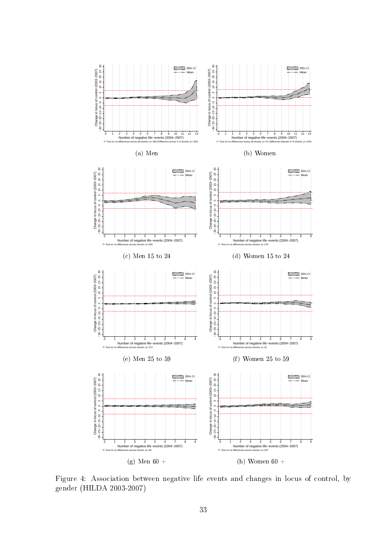

Figure 4: Association between negative life events and changes in locus of control, by gender (HILDA 2003-2007)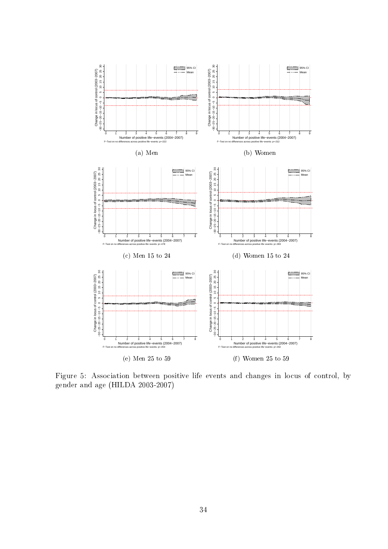

Figure 5: Association between positive life events and changes in locus of control, by gender and age (HILDA 2003-2007)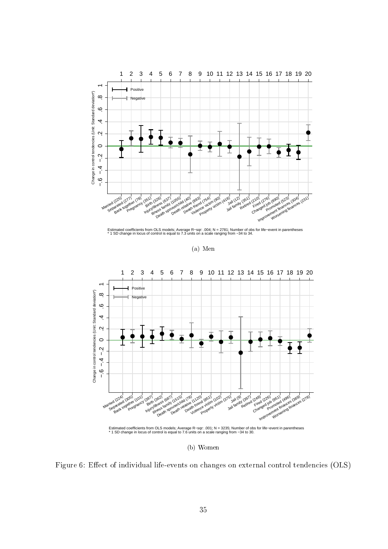

Estimated coefficients from OLS models; Average R–sqr: .004; N = 2781; Number of obs for life–event in parentheses<br>\* 1 SD change in locus of control is equal to 7.3 units on a scale ranging from −34 to 34.

(a) Men



(b) Women

Figure 6: Effect of individual life-events on changes on external control tendencies (OLS)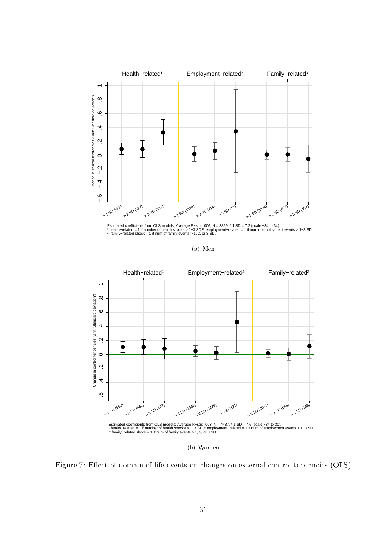

Estimated coefficients from OLS models; Average R–sqr∷006; N = 3859, \* 1 SD = 7.2 (scale –34 to 34).<br>\* health−related = 1 if number of health shocks > 1–3 SD;?: employment–related = 1 if num of employment events > 1–3 SD<br>

(a) Men



(b) Women

Figure 7: Effect of domain of life-events on changes on external control tendencies (OLS)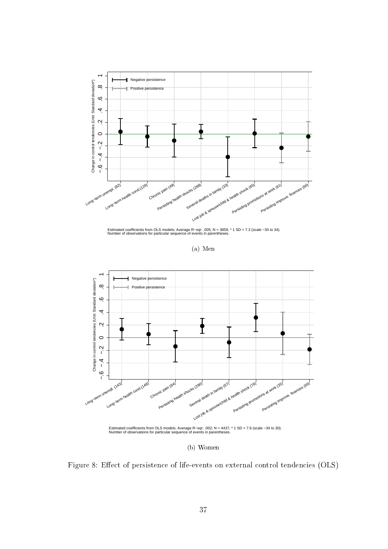

Estimated coefficients from OLS models; Average R–sqr: .005; N = 3859, \* 1 SD = 7.3 (scale −34 to 34).<br>Number of observations for particular sequence of events in parentheses.

(a) Men



(b) Women

Figure 8: Effect of persistence of life-events on external control tendencies (OLS)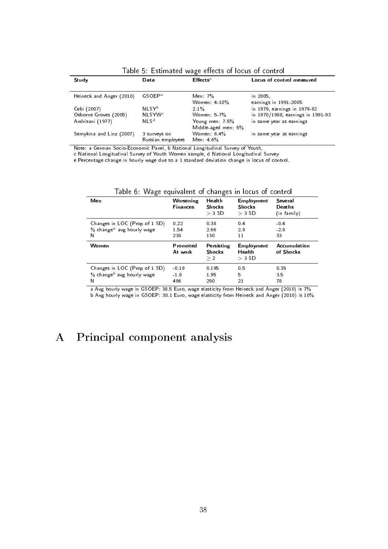| Study                    | Data                 | $E$ ffects <sup>e</sup> | Locus of control measured         |
|--------------------------|----------------------|-------------------------|-----------------------------------|
|                          |                      |                         |                                   |
| Heineck and Anger (2010) | GSOEP <sup>a</sup>   | Men: 7%                 | in 2005.                          |
|                          |                      | Women: $4-10\%$         | earnings in 1991-2005             |
| Cebi (2007)              | $NI$ SY <sup>b</sup> | 21%                     | in 1979, earnings in 1979-82      |
| Osborne Groves (2005)    | $NLSYW^c$            | Women $5-7\%$           | in 1970/1988, earnings in 1991-93 |
| Andrisani (1977)         | $NIS^d$              | Young men: 7.5%         | in same year as earnings          |
|                          |                      | Middle-aged men: 5%     |                                   |
| Semykina and Linz (2007) | 3 surveys on         | Women $6.4\%$           | in same year as earnings          |
|                          | Russian employees    | Men: $4.6\%$            |                                   |

Table 5: Estimated wage effects of locus of control

Note: a German Socio-Economic Panel, b National Longitudinal Survey of Youth,

c National Longitudinal Survey of Youth Women sample, d National Longitudinal Survey

e Percentage change in hourly wage due to a 1 standard deviation change in locus of control.

| Men                                   | Worsening<br><b>Finances</b> | Health<br><b>Shocks</b><br>$>$ 3 SD | Employment<br><b>Shocks</b><br>$>$ 3 SD | Several<br>Deaths<br>(in family) |
|---------------------------------------|------------------------------|-------------------------------------|-----------------------------------------|----------------------------------|
| Changes in LOC (Prop of 1 SD)         | 0.22                         | 0.38                                | 0.4                                     | $-0.4$                           |
| % change <sup>a</sup> avg hourly wage | 1.54                         | 2.66                                | 2.8                                     | $-2.8$                           |
| N                                     | 230                          | 130                                 | 11                                      | 33                               |
| Women                                 | Promoted<br>At work          | Persisting<br><b>Shocks</b><br>> 2  | Employment<br>Health<br>$>$ 3 SD        | Accumulation<br>of Shocks        |
| Changes in LOC (Prop of 1 SD)         | $-0.18$                      | 0.195                               | 0.5                                     | 0.35                             |
| % change <sup>b</sup> avg hourly wage | $-1.8$                       | 1.95                                | 5                                       | 3.5                              |
| N                                     | 496                          | 290                                 | 21                                      | 78                               |

Table 6: Wage equivalent of changes in locus of control

a Avg hourly wage in GSOEP: 38.5 Euro, wage elasticity from Heineck and Anger (2010) is 7% b Avg hourly wage in GSOEP: 30.1 Euro, wage elasticity from Heineck and Anger (2010) is 10%

## A Principal component analysis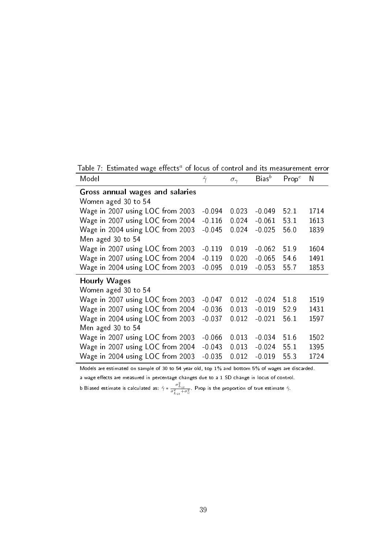Table 7: Estimated wage effects<sup>a</sup> of locus of control and its measurement error

| Model                            | $\hat{\gamma}$ | $\sigma_{\gamma}$ | $Bias^b$ | $\mathsf{Prop}^c$ | N    |
|----------------------------------|----------------|-------------------|----------|-------------------|------|
| Gross annual wages and salaries  |                |                   |          |                   |      |
| Women aged 30 to 54              |                |                   |          |                   |      |
| Wage in 2007 using LOC from 2003 | $-0.094$       | 0.023             | $-0.049$ | 52.1              | 1714 |
| Wage in 2007 using LOC from 2004 | $-0.116$       | 0.024             | $-0.061$ | 53 1              | 1613 |
| Wage in 2004 using LOC from 2003 | $-0.045$       | 0.024             | $-0.025$ | 56.0              | 1839 |
| Men aged 30 to 54                |                |                   |          |                   |      |
| Wage in 2007 using LOC from 2003 | $-0.119$       | 0 0 1 9           | $-0.062$ | 519               | 1604 |
| Wage in 2007 using LOC from 2004 | $-0.119$       | 0.020             | $-0.065$ | 54.6              | 1491 |
| Wage in 2004 using LOC from 2003 | $-0.095$       | 0.019             | $-0.053$ | 557               | 1853 |
| <b>Hourly Wages</b>              |                |                   |          |                   |      |
| Women aged 30 to 54              |                |                   |          |                   |      |
| Wage in 2007 using LOC from 2003 | $-0.047$       | 0 0 1 2           | $-0.024$ | 518               | 1519 |
| Wage in 2007 using LOC from 2004 | $-0.036$       | 0.013             | $-0.019$ | 529               | 1431 |
| Wage in 2004 using LOC from 2003 | $-0.037$       | 0 0 1 2           | $-0.021$ | 56 1              | 1597 |
| Men aged 30 to 54                |                |                   |          |                   |      |
| Wage in 2007 using LOC from 2003 | $-0.066$       | 0.013             | $-0.034$ | 516               | 1502 |
| Wage in 2007 using LOC from 2004 | $-0.043$       | 0.013             | $-0.024$ | 55 1              | 1395 |
| Wage in 2004 using LOC from 2003 | $-0.035$       | 0.012             | $-0.019$ | 553               | 1724 |

Models are estimated on sample of 30 to 54 year old, top 1% and bottom 5% of wages are discarded.

a wage effects are measured in percentage changes due to a 1 SD change in locus of control.

b Biased estimate is calculated as:  $\hat{\gamma}*\frac{\sigma_{L_{it}}^2}{\sigma_{L_{it}}^2+\sigma_v^2}$ . Prop is the proportion of true estimate  $\hat{\gamma}$ .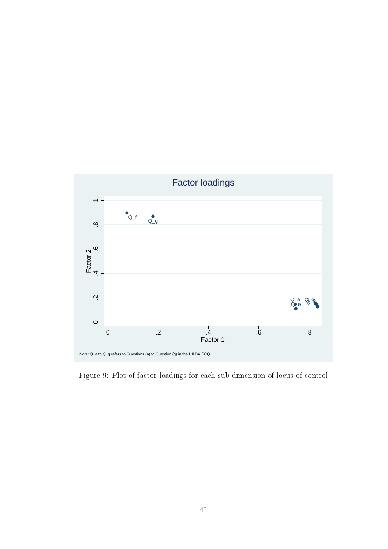

Figure 9: Plot of factor loadings for each sub-dimension of locus of control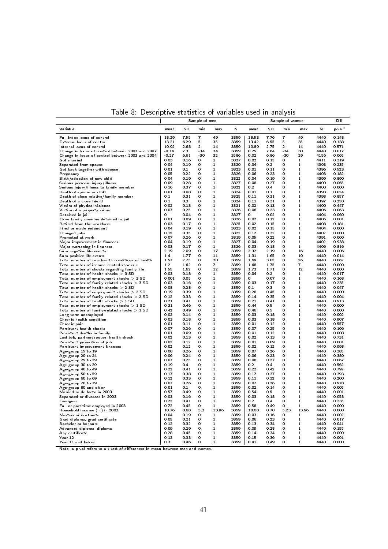|                                                                                          |                  |              | Sample of men          |                   |              |               |              | Sample of women            |                              |              | Diff           |
|------------------------------------------------------------------------------------------|------------------|--------------|------------------------|-------------------|--------------|---------------|--------------|----------------------------|------------------------------|--------------|----------------|
| Variable                                                                                 | mean             | SD           | min                    | max               | N            | mean          | SD           | min                        | max                          | N            | p-val $^a$     |
| Full index locus of control                                                              | 18.29            | 7.55         | $\overline{7}$         | 49                | 3859         | 18.53         | 7.76         | $\overline{\mathbf{r}}$    | 49                           | 4440         | 0.148          |
| External locus of control                                                                | 13.21            | 6.29         | 5                      | 35                | 3859         | 13.42         | 6.55         | 5                          | 35                           | 4440         | 0.138          |
| Internal locus of control<br>Change in locus of control between 2003 and 2007            | 10.92<br>$-0.14$ | 2.68<br>7.3  | $\overline{2}$<br>- 34 | 14<br>34          | 3859<br>3859 | 10.89<br>0.25 | 2.75<br>7.64 | $\overline{2}$<br>$-34$    | 14<br>30                     | 4440<br>4440 | 0.571<br>0.017 |
| Change in locus of control between 2003 and 2004                                         | $-0.27$          | 6.61         | -30                    | 32                | 3586         | 0.02          | 6.86         | $-30$                      | 29                           | 4156         | 0.065          |
| Got married                                                                              | 0.03             | 0.16         | 0                      | $\mathbf{1}$      | 3827         | 0.02          | 0.15         | 0                          | $\mathbf{1}$                 | 4411         | 0.319          |
| Separated from spouse                                                                    | 0.04             | 0.19         | 0                      | $\mathbf{1}$      | 3820         | 0.04          | 0.2          | 0                          | $\mathbf{1}$                 | 4393         | 0.235          |
| Got back together with spouse                                                            | 0.01             | 0.1          | 0                      | $\mathbf 1$       | 3823         | 0.01          | 0.11         | $\mathbf 0$                | 1                            | 4396         | 0.523          |
| Pregnancy                                                                                | 0.05<br>0.04     | 0.22<br>0.19 | 0<br>0                 | 1<br>1            | 3826<br>3822 | 0.06<br>0.04  | 0.23<br>0.19 | 0<br>0                     | 1<br>1                       | 4403<br>4399 | 0.182<br>0.890 |
| Birth/adoption of new child<br>Serious personal injury/illness                           | 0.09             | 0.28         | 0                      | 1                 | 3827         | 0.08          | 0.27         | 0                          | 1                            | 4400         | 0.065          |
| Serious injury/illness to family member                                                  | 0.16             | 0.37         | 0                      | 1                 | 3822         | 0.2           | 0.4          | 0                          | 1                            | 4400         | 0.000          |
| Death of spouse or child                                                                 | 0.01             | 0.08         | 0                      | $\mathbf{1}$      | 3824         | 0.01          | 0.1          | 0                          | 1                            | 4398         | 0.024          |
| Death of close relative/family member                                                    | 0.1              | 0.31         | 0                      | 1                 | 3825         | 0.11          | 0.31         | 0                          | 1                            | 4398         | 0.857          |
| Death of a close friend                                                                  | 0.1              | 0.3          | 0                      | 1                 | 3824         | 0.11          | 0.31         | 0                          | 1                            | 4397         | 0.250          |
| Victim of physical violence<br>Victim of a property crime                                | 0.02<br>0.07     | 0.13<br>0.25 | 0<br>0                 | 1<br>1            | 3821<br>3826 | 0.02<br>0.06  | 0.13<br>0.23 | 0<br>0                     | 1<br>1                       | 4400<br>4406 | 0.447<br>0.063 |
| Detained in jail                                                                         | 0                | 0.04         | 0                      | $\mathbf{1}$      | 3827         | 0             | 0.02         | 0                          | 1                            | 4404         | 0.060          |
| Close family member detained in jail                                                     | 0.01             | 0.09         | 0                      | $\mathbf{1}$      | 3826         | 0.02          | 0.12         | $\Omega$                   | 1                            | 4406         | 0.001          |
| Retired from the workforce                                                               | 0.03             | 0.17         | 0                      | $\mathbf{1}$      | 3825         | 0.02          | 0.15         | 0                          | 1                            | 4408         | 0.181          |
| Fired or made redundant                                                                  | 0.04             | 0.19         | 0                      | $\mathbf{1}$      | 3823         | 0.02          | 0.15         | $\mathbf 0$                | $\mathbf{1}$                 | 4404         | 0.000          |
| Changed jobs                                                                             | 0.15             | 0.35         | 0<br>0                 | 1<br>1            | 3822         | 0.12<br>0.05  | 0.32         | $\mathbf 0$<br>0           | $\mathbf{1}$<br>$\mathbf{1}$ | 4402         | 0.000          |
| Promoted at work<br>Major improvement in finances                                        | 0.07<br>0.04     | 0.26<br>0.19 | 0                      | 1                 | 3819<br>3827 | 0.04          | 0.22<br>0.19 | 0                          | $\mathbf{1}$                 | 4391<br>4402 | 0.000<br>0.938 |
| Major worsening in finances                                                              | 0.03             | 0.17         | 0                      | $\mathbf{1}$      | 3826         | 0.03          | 0.18         | 0                          | $\mathbf{1}$                 | 4406         | 0.816          |
| Sum negative life-events                                                                 | 2.19             | 2.09         | 0                      | 17                | 3859         | 2.32          | 2.19         | 0                          | 16                           | 4440         | 0.006          |
| Sum positive life-events                                                                 | 1.4              | 1.77         | $\bf{0}$               | 11                | 3859         | 1.31          | 1.65         | 0                          | 10                           | 4440         | 0.014          |
| Total number of new health conditions or health                                          | 1.57             | 2.75         | 0                      | 30                | 3859         | 1.69          | 3.05         | 0                          | 26                           | 4440         | 0.062          |
| Total number of income related shocks e                                                  | $1.2$            | 1.62         | 0                      | $\overline{7}$    | 3859         | 1.68          | 1.75         | 0<br>$\mathbf 0$           | $\overline{7}$               | 4440<br>4440 | 0.000          |
| Total number of shocks regarding family life<br>Total number of health shocks $>$ 3 SD   | 1.55<br>0.03     | 1.62<br>0.18 | 0<br>0                 | 12<br>1           | 3859<br>3859 | 1.73<br>0.04  | 1.71<br>0.2  | 0                          | 12<br>1                      | 4440         | 0.000<br>0.017 |
| Total number of employment shocks $>$ 3 SD                                               | 0.001            | 0.05         | 0                      | 1                 | 3859         | 0             | 0.07         | 0                          | 1                            | 4440         | 0.168          |
| Total number of family-related shocks $> 3$ SD                                           | 0.03             | 0.16         | 0                      | 1                 | 3859         | 0.03          | 0.17         | 0                          | 1                            | 4440         | 0.235          |
| Total number of health shocks $>$ 2 SD                                                   | 0.08             | 0.28         | 0                      | 1                 | 3859         | 0.1           | 0.3          | 0                          | $\mathbf{1}$                 | 4440         | 0.047          |
| Total number of employment shocks $> 2$ SD                                               | 0.19             | 0.39         | 0                      | $\mathbf{1}$      | 3859         | 0.28          | 0.45         | 0                          | $\mathbf{1}$                 | 4440         | 0.000          |
| Total number of family-related shocks $> 2$ SD<br>Total number of health shocks $> 1$ SD | 0.12             | 0.33<br>0.41 | 0<br>0                 | 1<br>1            | 3859<br>3859 | 0.14<br>0.21  | 0.35<br>0.41 | 0<br>0                     | $\mathbf 1$<br>1             | 4440<br>4440 | 0.004<br>0.913 |
| Total number of employment shocks $>1$ SD                                                | 0.21<br>0.31     | 0.46         | 0                      | 1                 | 3859         | 0.44          | 0.5          | 0                          | 1                            | 4440         | 0.000          |
| Total number of family-related shocks $> 1$ SD                                           | 0.42             | 0.49         | 0                      | 1                 | 3859         | 0.46          | 0.5          | 0                          | $\mathbf 1$                  | 4440         | 0.000          |
| Long-term unemployed                                                                     | 0.02             | 0.14         | 0                      | 1                 | 3859         | 0.03          | 0.18         | 0                          | 1                            | 4440         | 0.002          |
| Chronic health condition                                                                 | 0.03             | 0.18         | 0                      | 1                 | 3859         | 0.03          | 0.18         | 0                          | 1                            | 4440         | 0.907          |
| Chronic pain                                                                             | 0.01             | 0.11         | 0                      | 1                 | 3859         | 0.01          | 0.12         | 0                          | 1                            | 4440         | 0.557          |
| Persistent health shocks<br>Persistent deaths in family                                  | 0.07<br>0.01     | 0.26<br>0.09 | 0<br>0                 | 1<br>1            | 3859<br>3859 | 0.07<br>0.01  | 0.25<br>0.12 | 0<br>0                     | 1<br>1                       | 4440<br>4440 | 0.106<br>0.008 |
| Lost job, partner/spouse, health shock                                                   | 0.02             | 0.13         | 0                      | 1                 | 3859         | 0.02          | 0.13         | 0                          | 1                            | 4440         | 0.731          |
| Persistent promotion at job                                                              | 0.02             | 0.12         | 0                      | 1                 | 3859         | 0.01          | 0.09         | 0                          | 1                            | 4440         | 0.001          |
| Persistent improvement finances                                                          | 0.02             | 0.12         | 0                      | $\mathbf{1}$      | 3859         | 0.02          | 0.12         | 0                          | 1                            | 4440         | 0.998          |
| Age-group 15 to 19                                                                       | 0.08             | 0.26         | 0                      | $\mathbf{1}$      | 3859         | 0.07          | 0.26         | 0                          | 1                            | 4440         | 0.385          |
| Age-group 20 to 24<br>Age-group 25 to 29                                                 | 0.06<br>0.07     | 0.24<br>0.25 | 0<br>0                 | $\mathbf{1}$<br>1 | 3859<br>3859 | 0.06<br>0.08  | 0.23<br>0.27 | $\mathbf 0$<br>$\mathbf 0$ | $\mathbf{1}$<br>$\mathbf{1}$ | 4440<br>4440 | 0.380<br>0.067 |
| Age-group 30 to 39                                                                       | 0.19             | 0.4          | 0                      | 1                 | 3859         | 0.2           | 0.4          | 0                          | 1                            | 4440         | 0.562          |
| Age-group 40 to 49                                                                       | 0.22             | 0.41         | 0                      | $\mathbf{1}$      | 3859         | 0.22          | 0.42         | 0                          | 1                            | 4440         | 0.792          |
| Age-group 50 to 59                                                                       | 0.17             | 0.38         | 0                      | $\mathbf{1}$      | 3859         | 0.17          | 0.37         | 0                          | 1                            | 4440         | 0.393          |
| Age-group 60 to 69                                                                       | 0.12             | 0.33         | 0                      | 1                 | 3859         | 0.11          | 0.32         | 0                          | 1                            | 4440         | 0.200          |
| Age-group 70 to 79                                                                       | 0.07             | 0.26         | 0                      | 1                 | 3859         | 0.07          | 0.26         | 0                          | 1                            | 4440         | 0.978          |
| Age-group 80 and older<br>Married or de facto in 2003                                    | 0.01<br>0.57     | 0.1<br>0.49  | 0<br>0                 | 1<br>1            | 3859<br>3859 | 0.02<br>0.54  | 0.14<br>0.5  | 0<br>0                     | 1<br>1                       | 4440<br>4440 | 0.005          |
| Separated or divorced in 2003                                                            | 0.03             | 0.16         | 0                      | 1                 | 3859         | 0.03          | 0.18         | 0                          | 1                            | 4440         | 0.001<br>0.058 |
| Foreigner                                                                                | 0.22             | 0.41         | 0                      | 1                 | 3859         | 0.2           | 0.4          | 0                          | 1                            | 4440         | 0.235          |
| Full or part-time employed in 2003                                                       | 0.72             | 0.45         | 0                      | 1                 | 3859         | 0.58          | 0.49         | 0                          | 1                            | 4440         | 0.000          |
| Household income (In) in 2003                                                            | 10.76            | 0.68         | 5.3                    | 13.96             | 3859         | 10.68         | 0.70         | 5.23                       | 13.96                        | 4440         | 0.000          |
| Masters or doctorate                                                                     | 0.04             | 0.19         | 0                      | 1                 | 3859         | 0.03          | 0.16         | 0                          | $\mathbf{1}$                 | 4440         | 0.002          |
| Grad diploma, grad certificate<br>Bachelor or honours                                    | 0.05<br>0.12     | 0.21<br>0.32 | 0<br>0                 | 1<br>1            | 3859<br>3859 | 0.06<br>0.13  | 0.23<br>0.34 | $\mathbf 0$<br>0           | $\mathbf{1}$<br>1            | 4440<br>4440 | 0.017<br>0.041 |
| Advanced diploma, diploma                                                                | 0.09             | 0.29         | 0                      | 1                 | 3859         | 0.09          | 0.28         | 0                          | 1                            | 4440         | 0.155          |
| Any certificate                                                                          | 0.28             | 0.45         | 0                      | 1                 | 3859         | 0.14          | 0.34         | 0                          | 1                            | 4440         | 0.000          |
| Year 12                                                                                  | 0.13             | 0.33         | 0                      | 1                 | 3859         | 0.15          | 0.36         | 0                          | 1                            | 4440         | 0.001          |
| Year 11 and below                                                                        | 0.3              | 0.46         | 0                      | 1                 | 3859         | 0.41          | 0.49         | 0                          | 1                            | 4440         | 0.000          |

Table 8: Descriptive statistics of variables used in analysis

Note: a p-val refers to a t-test of differences in mean between men and women.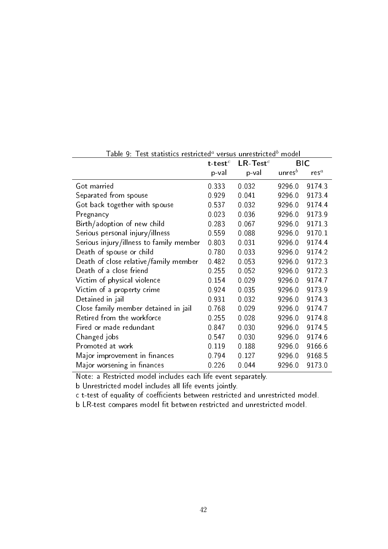| <u>rabic 5. Test statistics restricted</u> | t-test $c$ | ๛๛๛๛<br>$LR$ -Test <sup>c</sup> | 11000c     | <b>BIC</b> |
|--------------------------------------------|------------|---------------------------------|------------|------------|
|                                            | p-val      | p-val                           | unres $^b$ | $res^a$    |
| Got married                                | 0.333      | 0.032                           | 92960      | 91743      |
| Separated from spouse                      | 0 9 2 9    | 0.041                           | 92960      | 91734      |
| Got back together with spouse              | 0537       | 0.032                           | 92960      | 91744      |
| Pregnancy                                  | 0.023      | 0.036                           | 9296.0     | 91739      |
| Birth/adoption of new child                | 0.283      | 0.067                           | 92960      | 91713      |
| Serious personal injury/illness            | 0559       | 0.088                           | 92960      | 9170 1     |
| Serious injury/illness to family member    | 0.803      | 0.031                           | 92960      | 91744      |
| Death of spouse or child                   | 0780       | 0.033                           | 92960      | 91742      |
| Death of close relative/family member      | 0482       | 0 0 5 3                         | 9296.0     | 91723      |
| Death of a close friend                    | 0.255      | 0.052                           | 9296.0     | 91723      |
| Victim of physical violence                | 0.154      | 0.029                           | 92960      | 91747      |
| Victim of a property crime                 | 0924       | 0 0 3 5                         | 9296.0     | 91739      |
| Detained in jail                           | 0931       | 0.032                           | 92960      | 91743      |
| Close family member detained in jail       | 0.768      | 0.029                           | 92960      | 91747      |
| Retired from the workforce                 | 0 255      | 0.028                           | 92960      | 91748      |
| Fired or made redundant                    | 0847       | 0.030                           | 9296.0     | 91745      |
| Changed jobs                               | 0547       | 0.030                           | 92960      | 91746      |
| Promoted at work                           | 0.119      | 0.188                           | 92960      | 91666      |
| Major improvement in finances              | 0794       | 0.127                           | 9296.0     | 91685      |
| Major worsening in finances                | 0.226      | 0.044                           | 92960      | 91730      |

<u>Table 9: Test statistics restricted $^a$  versus unrestricted $^b$  model</u>

Note: a Restricted model includes each life event separately.

b Unrestricted model includes all life events jointly.

c t-test of equality of coefficients between restricted and unrestricted model.

b LR-test compares model fit between restricted and unrestricted model.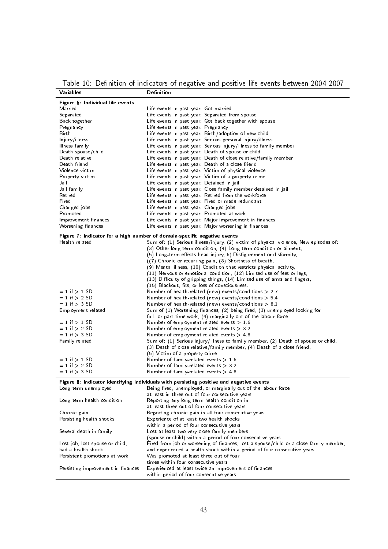Table 10: Definition of indicators of negative and positive life-events between 2004-2007

| Variables                          | Definition                                                                               |
|------------------------------------|------------------------------------------------------------------------------------------|
| Figure 6: Individual life events   |                                                                                          |
| Married                            | Life events in past year Got married                                                     |
| Separated                          | Life events in past year. Separated from spouse                                          |
| Back together                      | Life events in past year. Got back together with spouse                                  |
| Pregnancy                          | Life events in past year Pregnancy                                                       |
| Birth                              | Life events in past year Birth/adoption of new child                                     |
| Injury/illness                     | Life events in past year. Serious personal injury/illness                                |
| Illness family                     | Life events in past year. Serious injury/illness to family member                        |
| Death spouse/child                 | Life events in past year. Death of spouse or child                                       |
| Death relative                     | Life events in past year. Death of close relative/family member                          |
| Death friend                       | Life events in past year. Death of a close friend                                        |
| Violence victim                    | Life events in past year. Victim of physical violence                                    |
| Property victim                    | Life events in past year Victim of a property crime                                      |
| Jail                               | Life events in past year. Detained in jail                                               |
| Jail family                        | Life events in past year: Close family member detained in jail                           |
| Retired                            | Life events in past year. Retired from the workforce                                     |
| Fired                              | Life events in past year Fired or made redundant                                         |
| Changed jobs                       | Life events in past year. Changed jobs                                                   |
| Promoted                           | Life events in past year Promoted at work                                                |
| Improvement finances               | Life events in past year. Major improvement in finances                                  |
| Worsening finances                 | Life events in past year. Major worsening in finances                                    |
|                                    |                                                                                          |
|                                    | Figure 7: indicator for a high number of domain-specific negative events                 |
| Health related                     | Sum of: (1) Serious illness/injury, (2) victim of physical violence, New episodes of:    |
|                                    | (3) Other long-term condition, (4) Long-term condition or ailment,                       |
|                                    | (5) Long-term effects head injury, 6) Disfigurement or disformity,                       |
|                                    | ((7) Chronic or recurring pain, (8) Shortness of breath,                                 |
|                                    | (9) Mental illness, (10) Condition that restricts physical activity,                     |
|                                    | $(11)$ Nervous or emotional condition, $(12)$ Limited use of feet or legs,               |
|                                    | (13) Difficulty of gripping things, (14) Limited use of arms and fingers,                |
|                                    | (15) Blackout, fits, or loss of consciousness.                                           |
| $= 1$ if $> 1$ SD                  | Number of health-related (new) events/conditions $> 2.7$                                 |
| $= 1$ if $> 2$ SD                  | Number of health-related (new) events/conditions $> 5.4$                                 |
| $= 1$ if $> 3$ SD                  | Number of health-related (new) events/conditions $> 8.1$                                 |
| Employment related                 | Sum of (1) Worsening finances, (2) being fired, (3) unemployed looking for               |
|                                    | full- or part-time work, (4) marginally out of the labour force                          |
| $= 1$ if $> 1$ SD                  | Number of employment related events $> 1.6$                                              |
| $= 1$ if $> 2$ SD                  | Number of employment related events > 3.2                                                |
| $= 1$ if $> 3$ SD                  | Number of employment related events $> 4.8$                                              |
| Family related                     | Sum of: (1) Serious injury/illness to family member, (2) Death of spouse or child,       |
|                                    | (3) Death of close relative/family member, (4) Death of a close friend,                  |
|                                    | (5) Victim of a property crime                                                           |
| $= 1$ if $> 1$ SD                  | Number of family-related events $> 1.6$                                                  |
| $= 1$ if $> 2$ SD                  | Number of family-related events $> 3.2$                                                  |
| $= 1$ if $> 3$ SD                  | Number of family-related events $> 4.8$                                                  |
|                                    |                                                                                          |
|                                    | Figure 8: indicator identifying individuals with persisting positive and negative events |
| Long-term unemployed               | Being fired, unemployed, or marginally out of the labour force                           |
|                                    | at least in three out of four consecutive years                                          |
| Long term health condition         | Reporting any long-term health condition in                                              |
|                                    | at least three out of four consecutive years                                             |
| Chronic pain                       | Reporting chronic pain in all four consecutive years                                     |
| Persisting health shocks           | Experience of at least two health shocks                                                 |
|                                    | within a period of four consecutive years                                                |
| Several death in family            | Lost at least two very close family members                                              |
|                                    | (spouse or child) within a period of four consecutive years                              |
| Lost job, lost spouse or child,    | Fired from job or worsening of finances, lost a spouse/child or a close family member,   |
| had a health shock                 | and experienced a health shock within a period of four consecutive years                 |
| Persistent promotions at work      | Was promoted at least three out of four                                                  |
|                                    | times within four consecutive years                                                      |
| Persisting improvement in finances | Experienced at least twice an improvement of finances                                    |
|                                    | within period of four consecutive years                                                  |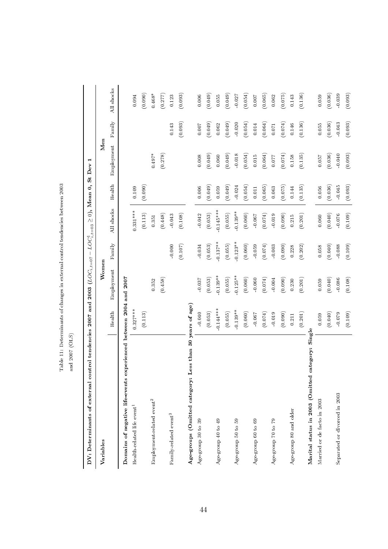| control tendencies 2007 and 2003 $(LOC_{i,t=07} - LOC_{i,t=03}^2 \ge 0)$ , Mean 0, St Dev<br>DV: Determinants of external |             |             |             |             |             |            |             |             |
|---------------------------------------------------------------------------------------------------------------------------|-------------|-------------|-------------|-------------|-------------|------------|-------------|-------------|
| Variables                                                                                                                 |             | Women       |             |             |             | Men        |             |             |
|                                                                                                                           | Health      | Employment  | Family      | All shocks  | Health      | Employment | Family      | All shocks  |
| experienced between 2004 and 2007<br>Domains of negative life-events                                                      |             |             |             |             |             |            |             |             |
| Health-related life event <sup>1</sup>                                                                                    | $0.327***$  |             |             | $0.331***$  | $\,0.109\,$ |            |             | $\,0.094$   |
|                                                                                                                           | (0.113)     |             |             | (0.113)     | (0.090)     |            |             | (0.090)     |
| Employment-related event <sup>2</sup>                                                                                     |             | 0.352       |             | 0.351       |             | $0.497^*$  |             | $0.468*$    |
|                                                                                                                           |             | (0.458)     |             | (0.448)     |             | (0.278)    |             | (0.277)     |
| Family-related event <sup>3</sup>                                                                                         |             |             | 0.000       | 0.043       |             |            | 0.143       | 0.123       |
|                                                                                                                           |             |             | (0.107)     | (0.108)     |             |            | (0.093)     | (0.093)     |
| Less than 30 years of age)<br>Age-groups (Omitted category:                                                               |             |             |             |             |             |            |             |             |
| Age-group 30 to 39                                                                                                        | $-0.040$    | 0.037       | $-0.034$    | $-0.042$    | 0.006       | $0.008$    | 0.007       | $0.006\,$   |
|                                                                                                                           | (0.053)     | (0.053)     | (0.053)     | (0.053)     | (0.049)     | (0.049)    | (0.049)     | (0.049)     |
| Age-group 40 to 49                                                                                                        | $0.144***$  | $0.139***$  | $0.137***$  | $0.145***$  | 0.059       | 0.060      | $\,0.062\,$ | $0.055\,$   |
|                                                                                                                           | (0.055)     | (0.055)     | (0.055)     | (0.055)     | (0.049)     | (0.049)    | (0.049)     | (0.049)     |
| Age-group 50 to 59                                                                                                        | $-0.139***$ | $-0.125***$ | $-0.123***$ | $-0.139***$ | 0.024       | $-0.018$   | 0.020       | 0.027       |
|                                                                                                                           | (0.060)     | (0.060)     | (0.060)     | (0.060)     | (0.054)     | (0.054)    | (0.054)     | (0.054)     |
| Age-group 60 to 69                                                                                                        | $-0.067$    | $-0.060$    | $-0.059$    | $-0.067$    | $0.011\,$   | $0.015\,$  | $0.014\,$   | 100.0       |
|                                                                                                                           | (0.074)     | (0.074)     | (0.074)     | (0.074)     | (0.065)     | (0.064)    | (0.064)     | (0.065)     |
| Age-group 70 to 79                                                                                                        | $-0.019$    | $-0.004$    | 0.003       | 0.019       | 0.063       | $0.077\,$  | $0.071\,$   | 0.062       |
|                                                                                                                           | (0.090)     | (0.090)     | (0.090)     | (0.090)     | (0.075)     | (0.074)    | (0.074)     | (0.075)     |
| Age-group 80 and older                                                                                                    | $0.211\,$   | 0.230       | 0.228       | $0.215\,$   | $\!0.144$   | $0.158\,$  | $\,0.146\,$ | $\,0.143\,$ |
|                                                                                                                           | (0.201)     | (0.201)     | (0.202)     | (0.201)     | (0.135)     | (0.135)    | (0.136)     | (0.136)     |
| category: Single<br>Marital status in 2003 (Omitted                                                                       |             |             |             |             |             |            |             |             |
| Married or de facto in 2003                                                                                               | 0.059       | 0.059       | $0.058\,$   | $0.060\,$   | $0.056\,$   | $750.0$    | 0.055       | $\,0.059$   |
|                                                                                                                           | (0.040)     | (0.040)     | (0.040)     | (0.040)     | (0.036)     | (0.036)    | (0.036)     | (0.036)     |
| Separated or divorced in 2003                                                                                             | 0.079       | 0.086       | 0.088       | $-0.076$    | $-0.045$    | $-0.040$   | $-0.043$    | 0.039       |
|                                                                                                                           | (0.109)     | (0.108)     | (0.109)     | (0.109)     | (0.093)     | (0.093)    | (0.093)     | (0.093)     |

Table 11: Determinants of changes in external control tendencies between 2003 Table 11: Determinants of changes in external control tendencies between 2003

and 2007 (OLS) and 2007 (OLS)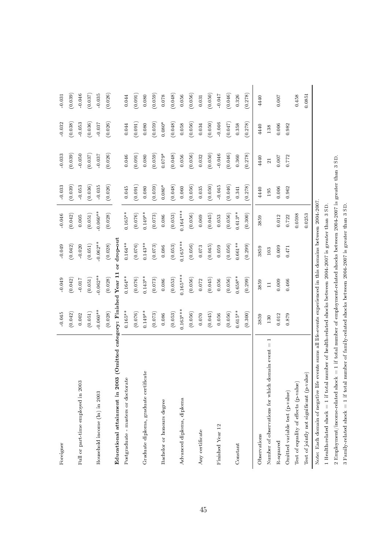| Foreigner                                                                                                                       | 0.045       | 0.049      | $-0.049$     | $-0.046$   | $-0.033$ | 0.033          | 0.032    | 0.031       |
|---------------------------------------------------------------------------------------------------------------------------------|-------------|------------|--------------|------------|----------|----------------|----------|-------------|
|                                                                                                                                 | (0.042)     | (0.042)    | (0.042)      | (0.042)    | (0.039)  | (0.039)        | (0.038)  | (0.039)     |
| Full or part-time employed in 2003                                                                                              | 0.002       | $-0.017$   | 0.020        | 0.005      | 0.053    | 0.050          | 0.053    | 0.046       |
|                                                                                                                                 | (0.051)     | (0.051)    | (0.051)      | (0.051)    | (0.036)  | (0.037)        | (0.036)  | (0.037)     |
| Household income (ln) in 2003                                                                                                   | $-0.060***$ | $0.062***$ | $-0.062**$   | $-0.060**$ | 0.035    | 0.037          | 0.037    | 0.035       |
|                                                                                                                                 | (0.028)     | (0.028)    | (0.028)      | (0.028)    | (0.026)  | (0.026)        | (0.026)  | (0.026)     |
| (Omitted category: Finished Year 11<br>Educational attainment in 2003                                                           |             |            | or drop-out  |            |          |                |          |             |
| Postgraduate - masters or doctorate                                                                                             | $0.165**$   | $0.164***$ | $0.164^{**}$ | $0.165**$  | 0.045    | 0.046          | 0.044    | 0.044       |
|                                                                                                                                 | (0.076)     | (0.076)    | (0.076)      | (0.076)    | (0.091)  | (0.091)        | (0.091)  | (0.091)     |
| Graduate diploma, graduate certificate                                                                                          | $0.149**$   | $0.143**$  | $0.143**$    | $0.149**$  | 0.080    | $\,0.080\,$    | 0.080    | $\,0.080\,$ |
|                                                                                                                                 | (0.073)     | (0.073)    | (0.073)      | (0.073)    | (0.059)  | (0.059)        | (0.059)  | (0.059)     |
| Bachelor or honours degree                                                                                                      | 0.086       | 0.086      | 0.086        | 0.086      | $0.080*$ | $0.079*$       | $0.080*$ | 0.078       |
|                                                                                                                                 | (0.053)     | (0.053)    | (0.053)      | (0.053)    | (0.048)  | (0.048)        | (0.048)  | (0.048)     |
| Advanced diploma, diploma                                                                                                       | $0.163***$  | $0.165***$ | $0.165***$   | $0.164***$ | 0.060    | 0.056          | 0.058    | $0.056\,$   |
|                                                                                                                                 | (0.056)     | (0.056)    | (0.056)      | (0.056)    | (0.056)  | (0.056)        | (0.056)  | (0.056)     |
| Any certificate                                                                                                                 | 0.070       | 0.072      | 0.073        | 0.069      | 0.035    | 0.032          | 0.034    | 0.031       |
|                                                                                                                                 | (0.045)     | (0.045)    | (0.045)      | (0.045)    | (0.050)  | (0.050)        | (0.050)  | (0.050)     |
| Finished Year 12                                                                                                                | $0.056\,$   | 0.056      | 0.059        | 0.053      | 0.045    | 0.046          | $-0.046$ | 0.047       |
|                                                                                                                                 | (0.056)     | (0.056)    | (0.056)      | (0.056)    | (0.046)  | (0.046)        | (0.047)  | (0.046)     |
| Constant                                                                                                                        | $0.615**$   | $0.658***$ | $0.661***$   | $0.613**$  | 0.341    | 0.360          | 0.358    | 0.326       |
|                                                                                                                                 | (0.300)     | (0.299)    | (0.299)      | (0.300)    | (0.278)  | (0.278)        | (0.278)  | (0.278)     |
| Observations                                                                                                                    | 3859        | 3859       | 3859         | 3859       | 4440     | 4440           | 4440     | 4440        |
| Number of observations for which domain event = 1                                                                               | 130         | $\Box$     | 103          |            | 195      | $\overline{z}$ | 138      |             |
| R-squared                                                                                                                       | 0.012       | 0.009      | 0.009        | 0.012      | 0.006    | 0.007          | 0.006    | 0.007       |
| Omitted variable test (p-value)                                                                                                 | 0.879       | 0.466      | 0.471        | 0.722      | 0.962    | 0.772          | 0.982    |             |
| Test of equality of effects (p-value)                                                                                           |             |            |              | 0.0598     |          |                |          | 0.458       |
| Test of jointly not significant (p-value)                                                                                       |             |            |              | 0.0253     |          |                |          | 0.0851      |
| Note: Each domain of negative life events sums all life-events experienced in this domains between 2004-2007.                   |             |            |              |            |          |                |          |             |
| 1 Health-related shock $= 1$ if total number of health-related shocks between 2004-2007 is greater than 3 SD.                   |             |            |              |            |          |                |          |             |
| $= 1$ if total number of employment related shocks between 2004-2007 is greater than 3 SD.<br>2 Employment/income-related shock |             |            |              |            |          |                |          |             |

3 Family-related shock = 1 if total number of family-related shocks between 2004-2007 is greater than 3 SD.

3 Family-related shock = 1 if total number of family-related shocks between  $2004-2007$  is greater than 3 SD.